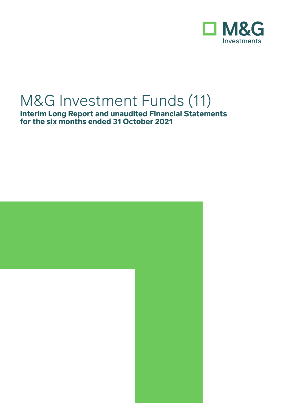

# M&G Investment Funds (11)

**Interim Long Report and unaudited Financial Statements for the six months ended 31 October 2021**

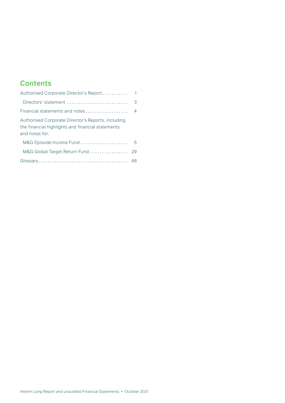## **Contents**

| Authorised Corporate Director's Report                                                                                    | $\mathbf{1}$ |
|---------------------------------------------------------------------------------------------------------------------------|--------------|
| Directors' statement $\ldots, \ldots, \ldots, \ldots, \ldots, \ldots, \ldots$                                             | 3            |
| Financial statements and notes                                                                                            | 4            |
| Authorised Corporate Director's Reports, including<br>the financial highlights and financial statements<br>and notes for: |              |
| M&G Episode Income Fund                                                                                                   | 5            |
| M&G Global Target Return Fund                                                                                             | 29           |
|                                                                                                                           |              |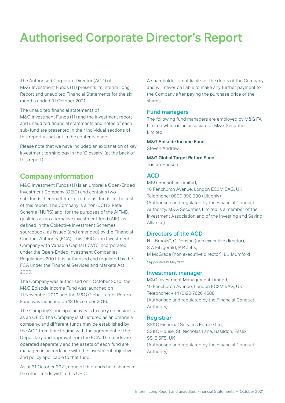<span id="page-2-0"></span>The Authorised Corporate Director (ACD) of M&G Investment Funds (11) presents its Interim Long Report and unaudited Financial Statements for the six months ended 31 October 2021.

The unaudited financial statements of

M&G Investment Funds (11) and the investment report and unaudited financial statements and notes of each sub-fund are presented in their individual sections of this report as set out in the contents page.

Please note that we have included an explanation of key investment terminology in the 'Glossary' (at the back of this report).

## **Company information**

M&G Investment Funds (11) is an umbrella Open-Ended Investment Company (OEIC) and contains two sub-funds, hereinafter referred to as 'funds' in the rest of this report. The Company is a non-UCITS Retail Scheme (NURS) and, for the purposes of the AIFMD, qualifies as an alternative investment fund (AIF), as defined in the Collective Investment Schemes sourcebook, as issued (and amended) by the Financial Conduct Authority (FCA). This OEIC is an Investment Company with Variable Capital (ICVC) incorporated under the Open-Ended Investment Companies Regulations 2001. It is authorised and regulated by the FCA under the Financial Services and Markets Act 2000.

The Company was authorised on 1 October 2010, the M&G Episode Income Fund was launched on 11 November 2010 and the M&G Global Target Return Fund was launched on 13 December 2016.

The Company's principal activity is to carry on business as an OEIC. The Company is structured as an umbrella company, and different funds may be established by the ACD from time to time with the agreement of the Depositary and approval from the FCA. The funds are operated separately and the assets of each fund are managed in accordance with the investment objective and policy applicable to that fund.

As at 31 October 2021, none of the funds held shares of the other funds within this OEIC.

A shareholder is not liable for the debts of the Company and will never be liable to make any further payment to the Company after paying the purchase price of the shares.

#### Fund managers

The following fund managers are employed by M&G FA Limited which is an associate of M&G Securities Limited.

M&G Episode Income Fund

Steven Andrew

M&G Global Target Return Fund

Tristan Hanson

#### ACD

M&G Securities Limited, 10 Fenchurch Avenue, London EC3M 5AG, UK Telephone: 0800 390 390 (UK only) (Authorised and regulated by the Financial Conduct Authority. M&G Securities Limited is a member of the Investment Association and of the Investing and Saving Alliance)

#### Directors of the ACD

N J Brooks\*, C Dobson (non executive director), S A Fitzgerald, P R Jelfs, M McGrade (non executive director), L J Mumford \* Appointed 19 May 2021.

#### Investment manager

M&G Investment Management Limited, 10 Fenchurch Avenue, London EC3M 5AG, UK Telephone: +44 (0)20 7626 4588 (Authorised and regulated by the Financial Conduct Authority)

#### **Registrar**

SS&C Financial Services Europe Ltd, SS&C House, St. Nicholas Lane, Basildon, Essex SS15 5FS, UK (Authorised and regulated by the Financial Conduct Authority)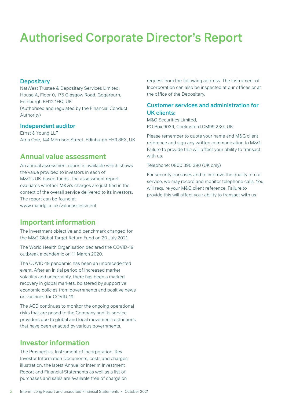#### **Depositary**

NatWest Trustee & Depositary Services Limited, House A, Floor 0, 175 Glasgow Road, Gogarburn, Edinburgh EH12 1HQ, UK (Authorised and regulated by the Financial Conduct Authority)

#### Independent auditor

Ernst & Young LLP Atria One, 144 Morrison Street, Edinburgh EH3 8EX, UK

## **Annual value assessment**

An annual assessment report is available which shows the value provided to investors in each of M&G's UK-based funds. The assessment report evaluates whether M&G's charges are justified in the context of the overall service delivered to its investors. The report can be found at www.mandg.co.uk/valueassessment

### **Important information**

The investment objective and benchmark changed for the M&G Global Target Return Fund on 20 July 2021.

The World Health Organisation declared the COVID-19 outbreak a pandemic on 11 March 2020.

The COVID-19 pandemic has been an unprecedented event. After an initial period of increased market volatility and uncertainty, there has been a marked recovery in global markets, bolstered by supportive economic policies from governments and positive news on vaccines for COVID-19.

The ACD continues to monitor the ongoing operational risks that are posed to the Company and its service providers due to global and local movement restrictions that have been enacted by various governments.

### **Investor information**

The Prospectus, Instrument of Incorporation, Key Investor Information Documents, costs and charges illustration, the latest Annual or Interim Investment Report and Financial Statements as well as a list of purchases and sales are available free of charge on

request from the following address. The Instrument of Incorporation can also be inspected at our offices or at the office of the Depositary.

### Customer services and administration for UK clients:

M&G Securities Limited, PO Box 9039, Chelmsford CM99 2XG, UK

Please remember to quote your name and M&G client reference and sign any written communication to M&G. Failure to provide this will affect your ability to transact with us.

Telephone: 0800 390 390 (UK only)

For security purposes and to improve the quality of our service, we may record and monitor telephone calls. You will require your M&G client reference. Failure to provide this will affect your ability to transact with us.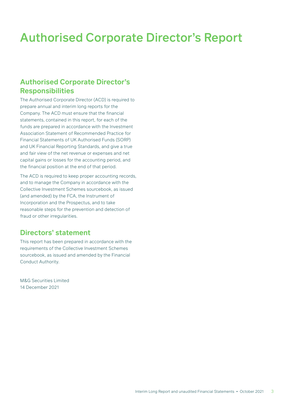## <span id="page-4-0"></span>**Authorised Corporate Director's Responsibilities**

The Authorised Corporate Director (ACD) is required to prepare annual and interim long reports for the Company. The ACD must ensure that the financial statements, contained in this report, for each of the funds are prepared in accordance with the Investment Association Statement of Recommended Practice for Financial Statements of UK Authorised Funds (SORP) and UK Financial Reporting Standards, and give a true and fair view of the net revenue or expenses and net capital gains or losses for the accounting period, and the financial position at the end of that period.

The ACD is required to keep proper accounting records, and to manage the Company in accordance with the Collective Investment Schemes sourcebook, as issued (and amended) by the FCA, the Instrument of Incorporation and the Prospectus, and to take reasonable steps for the prevention and detection of fraud or other irregularities.

## **Directors' statement**

This report has been prepared in accordance with the requirements of the Collective Investment Schemes sourcebook, as issued and amended by the Financial Conduct Authority.

M&G Securities Limited 14 December 2021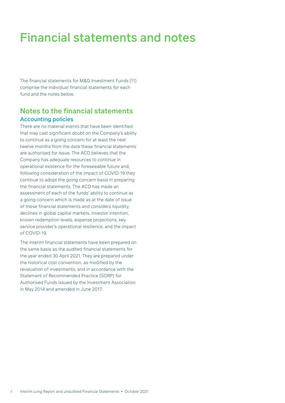# <span id="page-5-0"></span>Financial statements and notes

The financial statements for M&G Investment Funds (11) comprise the individual financial statements for each fund and the notes below.

## **Notes to the financial statements** Accounting policies

There are no material events that have been identified that may cast significant doubt on the Company's ability to continue as a going concern for at least the next twelve months from the date these financial statements are authorised for issue. The ACD believes that the Company has adequate resources to continue in operational existence for the foreseeable future and, following consideration of the impact of COVID-19 they continue to adopt the going concern basis in preparing the financial statements. The ACD has made an assessment of each of the funds' ability to continue as a going concern which is made as at the date of issue of these financial statements and considers liquidity, declines in global capital markets, investor intention, known redemption levels, expense projections, key service provider's operational resilience, and the impact of COVID-19.

The interim financial statements have been prepared on the same basis as the audited financial statements for the year ended 30 April 2021. They are prepared under the historical cost convention, as modified by the revaluation of investments, and in accordance with the Statement of Recommended Practice (SORP) for Authorised Funds issued by the Investment Association in May 2014 and amended in June 2017.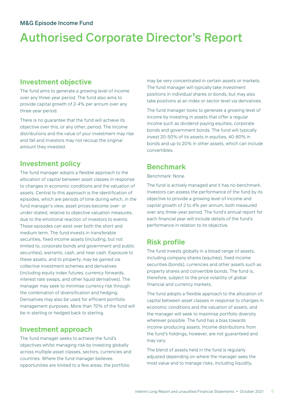## <span id="page-6-0"></span>**Investment objective**

The fund aims to generate a growing level of income over any three-year period. The fund also aims to provide capital growth of 2-4% per annum over any three-year period.

There is no guarantee that the fund will achieve its objective over this, or any other, period. The income distributions and the value of your investment may rise and fall and investors may not recoup the original amount they invested.

## **Investment policy**

The fund manager adopts a flexible approach to the allocation of capital between asset classes in response to changes in economic conditions and the valuation of assets. Central to this approach is the identification of episodes, which are periods of time during which, in the fund manager's view, asset prices become over- or under-stated, relative to objective valuation measures, due to the emotional reaction of investors to events. These episodes can exist over both the short and medium term. The fund invests in transferable securities, fixed income assets (including, but not limited to, corporate bonds and government and public securities), warrants, cash, and near cash. Exposure to these assets, and to property, may be gained via collective investment schemes and derivatives (including equity index futures, currency forwards, interest rate swaps, and other liquid derivatives). The manager may seek to minimise currency risk through the combination of diversification and hedging. Derivatives may also be used for efficient portfolio management purposes. More than 70% of the fund will be in sterling or hedged back to sterling.

## **Investment approach**

The fund manager seeks to achieve the fund's objectives whilst managing risk by investing globally across multiple asset classes, sectors, currencies and countries. Where the fund manager believes opportunities are limited to a few areas, the portfolio

may be very concentrated in certain assets or markets. The fund manager will typically take investment positions in individual shares or bonds, but may also take positions at an index or sector level via derivatives.

The fund manager looks to generate a growing level of income by investing in assets that offer a regular income such as dividend-paying equities, corporate bonds and government bonds. The fund will typically invest 20-50% of its assets in equities, 40-80% in bonds and up to 20% in other assets, which can include convertibles.

## **Benchmark**

#### Benchmark: None.

The fund is actively managed and it has no benchmark. Investors can assess the performance of the fund by its objective to provide a growing level of income and capital growth of 2 to 4% per annum, both measured over any three-year period. The fund's annual report for each financial year will include details of the fund's performance in relation to its objective.

## **Risk profile**

The fund invests globally in a broad range of assets, including company shares (equities), fixed income securities (bonds), currencies and other assets such as property shares and convertible bonds. The fund is, therefore, subject to the price volatility of global financial and currency markets.

The fund adopts a flexible approach to the allocation of capital between asset classes in response to changes in economic conditions and the valuation of assets, and the manager will seek to maximise portfolio diversity wherever possible. The fund has a bias towards income-producing assets. Income distributions from the fund's holdings, however, are not guaranteed and may vary.

The blend of assets held in the fund is regularly adjusted depending on where the manager sees the most value and to manage risks, including liquidity,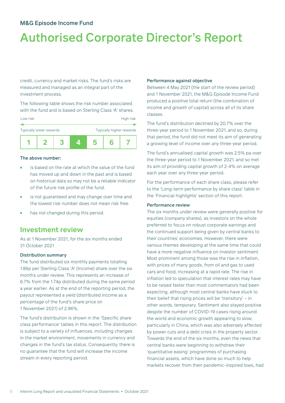# Authorised Corporate Director's Report

credit, currency and market risks. The fund's risks are measured and managed as an integral part of the investment process.

The following table shows the risk number associated with the fund and is based on Sterling Class 'A' shares.



#### The above number:

- is based on the rate at which the value of the fund has moved up and down in the past and is based on historical data so may not be a reliable indicator of the future risk profile of the fund.
- is not guaranteed and may change over time and the lowest risk number does not mean risk free.
- has not changed during this period.

## **Investment review**

As at 1 November 2021, for the six months ended 31 October 2021

#### Distribution summary

The fund distributed six monthly payments totalling 1.86p per Sterling Class 'A' (Income) share over the six months under review. This represents an increase of 6.7% from the 1.74p distributed during the same period a year earlier. As at the end of the reporting period, the payout represented a yield (distributed income as a percentage of the fund's share price on 1 November 2021) of 2.96%.

The fund's distribution is shown in the 'Specific share class performance' tables in this report. The distribution is subject to a variety of influences, including changes in the market environment, movements in currency and changes in the fund's tax status. Consequently, there is no guarantee that the fund will increase the income stream in every reporting period.

#### Performance against objective

Between 4 May 2021 (the start of the review period) and 1 November 2021, the M&G Episode Income Fund produced a positive total return (the combination of income and growth of capital) across all of its share classes.

The fund's distribution declined by 20.7% over the three-year period to 1 November 2021, and so, during that period, the fund did not meet its aim of generating a growing level of income over any three-year period.

The fund's annualised capital growth was 2.5% pa over the three-year period to 1 November 2021, and so met its aim of providing capital growth of 2-4% on average each year over any three-year period.

For the performance of each share class, please refer to the 'Long-term performance by share class' table in the 'Financial highlights' section of this report.

#### Performance review

The six months under review were generally positive for equities (company shares), as investors on the whole preferred to focus on robust corporate earnings and the continued support being given by central banks to their countries' economies. However, there were various themes developing at the same time that could have a more negative influence on investor sentiment. Most prominent among those was the rise in inflation, with prices of many goods, from oil and gas to used cars and food, increasing at a rapid rate. The rise in inflation led to speculation that interest rates may have to be raised faster than most commentators had been expecting, although most central banks have stuck to their belief that rising prices will be 'transitory' – in other words, temporary. Sentiment also stayed positive despite the number of COVID-19 cases rising around the world and economic growth appearing to slow, particularly in China, which was also adversely affected by power cuts and a debt crisis in the property sector. Towards the end of the six months, even the news that central banks were beginning to withdraw their 'quantitative easing' programmes of purchasing financial assets, which have done so much to help markets recover from their pandemic-inspired lows, had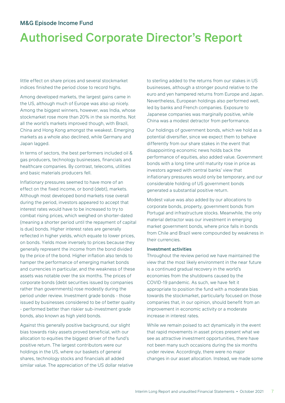# Authorised Corporate Director's Report

little effect on share prices and several stockmarket indices finished the period close to record highs.

Among developed markets, the largest gains came in the US, although much of Europe was also up nicely. Among the biggest winners, however, was India, whose stockmarket rose more than 20% in the six months. Not all the world's markets improved though, with Brazil, China and Hong Kong amongst the weakest. Emerging markets as a whole also declined, while Germany and Japan lagged.

In terms of sectors, the best performers included oil & gas producers, technology businesses, financials and healthcare companies. By contrast, telecoms, utilities and basic materials producers fell.

Inflationary pressures seemed to have more of an effect on the fixed income, or bond (debt), markets. Although most developed bond markets rose overall during the period, investors appeared to accept that interest rates would have to be increased to try to combat rising prices, which weighed on shorter-dated (meaning a shorter period until the repayment of capital is due) bonds. Higher interest rates are generally reflected in higher yields, which equate to lower prices, on bonds. Yields move inversely to prices because they generally represent the income from the bond divided by the price of the bond. Higher inflation also tends to hamper the performance of emerging market bonds and currencies in particular, and the weakness of these assets was notable over the six months. The prices of corporate bonds (debt securities issued by companies rather than governments) rose modestly during the period under review. Investment grade bonds - those issued by businesses considered to be of better quality - performed better than riskier sub-investment grade bonds, also known as high yield bonds.

Against this generally positive background, our slight bias towards risky assets proved beneficial, with our allocation to equities the biggest driver of the fund's positive return. The largest contributors were our holdings in the US, where our baskets of general shares, technology stocks and financials all added similar value. The appreciation of the US dollar relative to sterling added to the returns from our stakes in US businesses, although a stronger pound relative to the euro and yen hampered returns from Europe and Japan. Nevertheless, European holdings also performed well, led by banks and French companies. Exposure to Japanese companies was marginally positive, while China was a modest detractor from performance.

Our holdings of government bonds, which we hold as a potential diversifier, since we expect them to behave differently from our share stakes in the event that disappointing economic news holds back the performance of equities, also added value. Government bonds with a long time until maturity rose in price as investors agreed with central banks' view that inflationary pressures would only be temporary, and our considerable holding of US government bonds generated a substantial positive return.

Modest value was also added by our allocations to corporate bonds, property, government bonds from Portugal and infrastructure stocks. Meanwhile, the only material detractor was our investment in emerging market government bonds, where price falls in bonds from Chile and Brazil were compounded by weakness in their currencies.

#### Investment activities

Throughout the review period we have maintained the view that the most likely environment in the near future is a continued gradual recovery in the world's economies from the shutdowns caused by the COVID-19 pandemic. As such, we have felt it appropriate to position the fund with a moderate bias towards the stockmarket, particularly focused on those companies that, in our opinion, should benefit from an improvement in economic activity or a moderate increase in interest rates.

While we remain poised to act dynamically in the event that rapid movements in asset prices present what we see as attractive investment opportunities, there have not been many such occasions during the six months under review. Accordingly, there were no major changes in our asset allocation. Instead, we made some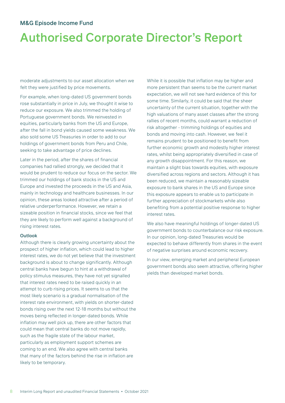# Authorised Corporate Director's Report

moderate adjustments to our asset allocation when we felt they were justified by price movements.

For example, when long-dated US government bonds rose substantially in price in July, we thought it wise to reduce our exposure. We also trimmed the holding of Portuguese government bonds. We reinvested in equities, particularly banks from the US and Europe, after the fall in bond yields caused some weakness. We also sold some US Treasuries in order to add to our holdings of government bonds from Peru and Chile, seeking to take advantage of price declines.

Later in the period, after the shares of financial companies had rallied strongly, we decided that it would be prudent to reduce our focus on the sector. We trimmed our holdings of bank stocks in the US and Europe and invested the proceeds in the US and Asia, mainly in technology and healthcare businesses. In our opinion, these areas looked attractive after a period of relative underperformance. However, we retain a sizeable position in financial stocks, since we feel that they are likely to perform well against a background of rising interest rates.

#### **Outlook**

Although there is clearly growing uncertainty about the prospect of higher inflation, which could lead to higher interest rates, we do not yet believe that the investment background is about to change significantly. Although central banks have begun to hint at a withdrawal of policy stimulus measures, they have not yet signalled that interest rates need to be raised quickly in an attempt to curb rising prices. It seems to us that the most likely scenario is a gradual normalisation of the interest rate environment, with yields on shorter-dated bonds rising over the next 12-18 months but without the moves being reflected in longer-dated bonds. While inflation may well pick up, there are other factors that could mean that central banks do not move rapidly, such as the fragile state of the labour market, particularly as employment support schemes are coming to an end. We also agree with central banks that many of the factors behind the rise in inflation are likely to be temporary.

While it is possible that inflation may be higher and more persistent than seems to be the current market expectation, we will not see hard evidence of this for some time. Similarly, it could be said that the sheer uncertainty of the current situation, together with the high valuations of many asset classes after the strong rallies of recent months, could warrant a reduction of risk altogether - trimming holdings of equities and bonds and moving into cash. However, we feel it remains prudent to be positioned to benefit from further economic growth and modestly higher interest rates, whilst being appropriately diversified in case of any growth disappointment. For this reason, we maintain a slight bias towards equities, with exposure diversified across regions and sectors. Although it has been reduced, we maintain a reasonably sizeable exposure to bank shares in the US and Europe since this exposure appears to enable us to participate in further appreciation of stockmarkets while also benefiting from a potential positive response to higher interest rates.

We also have meaningful holdings of longer-dated US government bonds to counterbalance our risk exposure. In our opinion, long-dated Treasuries would be expected to behave differently from shares in the event of negative surprises around economic recovery.

In our view, emerging market and peripheral European government bonds also seem attractive, offering higher yields than developed market bonds.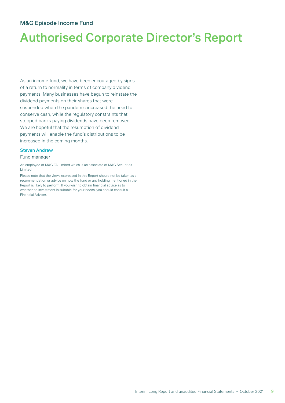# Authorised Corporate Director's Report

As an income fund, we have been encouraged by signs of a return to normality in terms of company dividend payments. Many businesses have begun to reinstate the dividend payments on their shares that were suspended when the pandemic increased the need to conserve cash, while the regulatory constraints that stopped banks paying dividends have been removed. We are hopeful that the resumption of dividend payments will enable the fund's distributions to be increased in the coming months.

#### Steven Andrew

#### Fund manager

An employee of M&G FA Limited which is an associate of M&G Securities Limited.

Please note that the views expressed in this Report should not be taken as a recommendation or advice on how the fund or any holding mentioned in the Report is likely to perform. If you wish to obtain financial advice as to whether an investment is suitable for your needs, you should consult a Financial Adviser.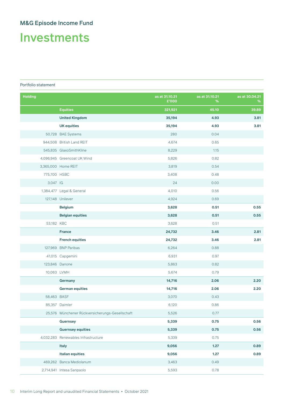# Investments

#### Portfolio statement

| <b>Holding</b> |                                                 | as at 31.10.21<br>£'000 | as at 31.10.21<br>% | as at 30.04.21<br>% |
|----------------|-------------------------------------------------|-------------------------|---------------------|---------------------|
|                | <b>Equities</b>                                 | 321,921                 | 45.10               | 39.89               |
|                | <b>United Kingdom</b>                           | 35,194                  | 4.93                | 3.81                |
|                | <b>UK equities</b>                              | 35,194                  | 4.93                | 3.81                |
|                | 50,728 BAE Systems                              | 280                     | 0.04                |                     |
|                | 944,508 British Land REIT                       | 4,674                   | 0.65                |                     |
|                | 545,835 GlaxoSmithKline                         | 8,229                   | 1.15                |                     |
|                | 4,096,945 Greencoat UK Wind                     | 5,826                   | 0.82                |                     |
|                | 3,365,000 Home REIT                             | 3,819                   | 0.54                |                     |
| 775,700 HSBC   |                                                 | 3,408                   | 0.48                |                     |
| 3,047 IG       |                                                 | 24                      | 0.00                |                     |
|                | 1,384,477 Legal & General                       | 4,010                   | 0.56                |                     |
|                | 127,148 Unilever                                | 4,924                   | 0.69                |                     |
|                | <b>Belgium</b>                                  | 3,628                   | 0.51                | 0.55                |
|                | <b>Belgian equities</b>                         | 3,628                   | 0.51                | 0.55                |
| 53,182 KBC     |                                                 | 3,628                   | 0.51                |                     |
|                | <b>France</b>                                   | 24,732                  | 3.46                | 2.81                |
|                | <b>French equities</b>                          | 24,732                  | 3.46                | 2.81                |
|                | 127,969 BNP Paribas                             | 6,264                   | 0.88                |                     |
|                | 41,015 Capgemini                                | 6,931                   | 0.97                |                     |
|                | 123,846 Danone                                  | 5,863                   | 0.82                |                     |
|                | 10,063 LVMH                                     | 5,674                   | 0.79                |                     |
|                | <b>Germany</b>                                  | 14,716                  | 2.06                | 2.20                |
|                | <b>German equities</b>                          | 14,716                  | 2.06                | 2.20                |
| 58,463 BASF    |                                                 | 3,070                   | 0.43                |                     |
|                | 85,357 Daimler                                  | 6,120                   | 0.86                |                     |
|                | 25,576 Münchener Rückversicherungs-Gesellschaft | 5,526                   | 0.77                |                     |
|                | <b>Guernsey</b>                                 | 5,339                   | 0.75                | 0.56                |
|                | <b>Guernsey equities</b>                        | 5,339                   | 0.75                | 0.56                |
|                | 4,032,283 Renewables Infrastructure             | 5,339                   | 0.75                |                     |
|                | <b>Italy</b>                                    | 9,056                   | 1.27                | 0.89                |
|                | <b>Italian equities</b>                         | 9,056                   | 1.27                | 0.89                |
|                | 469,262 Banca Mediolanum                        | 3,463                   | 0.49                |                     |
|                | 2,714,941 Intesa Sanpaolo                       | 5,593                   | 0.78                |                     |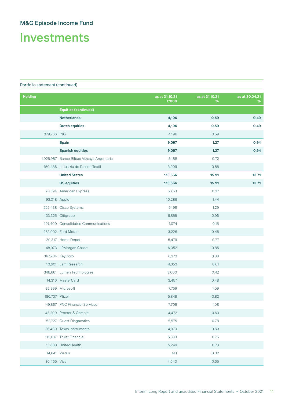Investments

| <b>Holding</b> |                                           | as at 31.10.21<br>£'000 | as at 31.10.21<br>% | as at 30.04.21<br>% |
|----------------|-------------------------------------------|-------------------------|---------------------|---------------------|
|                | <b>Equities (continued)</b>               |                         |                     |                     |
|                | <b>Netherlands</b>                        | 4,196                   | 0.59                | 0.49                |
|                | <b>Dutch equities</b>                     | 4,196                   | 0.59                | 0.49                |
| 379,766 ING    |                                           | 4,196                   | 0.59                |                     |
|                | <b>Spain</b>                              | 9,097                   | 1.27                | 0.94                |
|                | <b>Spanish equities</b>                   | 9,097                   | 1.27                | 0.94                |
|                | 1,025,987 Banco Bilbao Vizcaya Argentaria | 5,188                   | 0.72                |                     |
|                | 150,486 Industria de Diseno Textil        | 3,909                   | 0.55                |                     |
|                | <b>United States</b>                      | 113,566                 | 15.91               | 13.71               |
|                | <b>US equities</b>                        | 113,566                 | 15.91               | 13.71               |
|                | 20,694 American Express                   | 2,621                   | 0.37                |                     |
| 93,018 Apple   |                                           | 10,286                  | 1.44                |                     |
|                | 225,438 Cisco Systems                     | 9,198                   | 1.29                |                     |
|                | 133,325 Citigroup                         | 6,855                   | 0.96                |                     |
|                | 197,400 Consolidated Communications       | 1,074                   | 0.15                |                     |
|                | 263,902 Ford Motor                        | 3,226                   | 0.45                |                     |
|                | 20,317 Home Depot                         | 5,479                   | 0.77                |                     |
|                | 48,973 JPMorgan Chase                     | 6,052                   | 0.85                |                     |
|                | 367,934 KeyCorp                           | 6,273                   | 0.88                |                     |
|                | 10,601 Lam Research                       | 4,353                   | 0.61                |                     |
|                | 348,661 Lumen Technologies                | 3,000                   | 0.42                |                     |
|                | 14,316 MasterCard                         | 3,457                   | 0.48                |                     |
|                | 32,999 Microsoft                          | 7,759                   | 1.09                |                     |
| 186,737 Pfizer |                                           | 5,848                   | 0.82                |                     |
|                | 49,867 PNC Financial Services             | 7,708                   | 1.08                |                     |
|                | 43,200 Procter & Gamble                   | 4,472                   | 0.63                |                     |
|                | 52,727 Quest Diagnostics                  | 5,575                   | 0.78                |                     |
|                | 36,480 Texas Instruments                  | 4,970                   | 0.69                |                     |
|                | 115,017 Truist Financial                  | 5,330                   | 0.75                |                     |
|                | 15,888 UnitedHealth                       | 5,249                   | 0.73                |                     |
|                | 14,641 Viatris                            | 141                     | 0.02                |                     |
| 30,465 Visa    |                                           | 4,640                   | 0.65                |                     |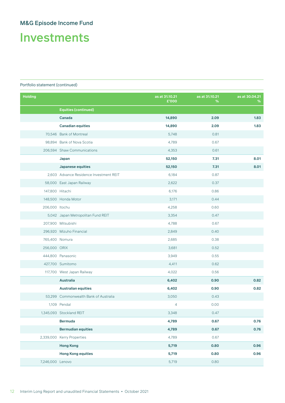Investments

| <b>Holding</b>   |                                         | as at 31.10.21<br>£'000 | as at 31.10.21<br>% | as at 30.04.21<br>% |
|------------------|-----------------------------------------|-------------------------|---------------------|---------------------|
|                  | <b>Equities (continued)</b>             |                         |                     |                     |
|                  | <b>Canada</b>                           | 14,890                  | 2.09                | 1.83                |
|                  | <b>Canadian equities</b>                | 14,890                  | 2.09                | 1.83                |
|                  | 70,546 Bank of Montreal                 | 5,748                   | 0.81                |                     |
|                  | 98,894 Bank of Nova Scotia              | 4,789                   | 0.67                |                     |
|                  | 206,594 Shaw Communications             | 4,353                   | 0.61                |                     |
|                  | Japan                                   | 52,150                  | 7.31                | 8.01                |
|                  | <b>Japanese equities</b>                | 52,150                  | 7.31                | 8.01                |
|                  | 2,603 Advance Residence Investment REIT | 6,184                   | 0.87                |                     |
|                  | 58,000 East Japan Railway               | 2,622                   | 0.37                |                     |
| 147,800 Hitachi  |                                         | 6,176                   | 0.86                |                     |
|                  | 148,500 Honda Motor                     | 3,171                   | 0.44                |                     |
| 206,000 Itochu   |                                         | 4,258                   | 0.60                |                     |
|                  | 5,042 Japan Metropolitan Fund REIT      | 3,354                   | 0.47                |                     |
|                  | 207,900 Mitsubishi                      | 4,788                   | 0.67                |                     |
|                  | 296,920 Mizuho Financial                | 2,849                   | 0.40                |                     |
|                  | 765,400 Nomura                          | 2,685                   | 0.38                |                     |
| 256,000 ORIX     |                                         | 3,681                   | 0.52                |                     |
|                  | 444,800 Panasonic                       | 3,949                   | 0.55                |                     |
|                  | 427,700 Sumitomo                        | 4,411                   | 0.62                |                     |
|                  | 117,700 West Japan Railway              | 4,022                   | 0.56                |                     |
|                  | <b>Australia</b>                        | 6,402                   | 0.90                | 0.82                |
|                  | <b>Australian equities</b>              | 6,402                   | 0.90                | 0.82                |
|                  | 53,299 Commonwealth Bank of Australia   | 3,050                   | 0.43                |                     |
|                  | 1,109 Pendal                            | 4                       | 0.00                |                     |
|                  | 1,345,093 Stockland REIT                | 3,348                   | 0.47                |                     |
|                  | <b>Bermuda</b>                          | 4,789                   | 0.67                | 0.76                |
|                  | <b>Bermudian equities</b>               | 4,789                   | 0.67                | 0.76                |
|                  | 2,339,000 Kerry Properties              | 4,789                   | 0.67                |                     |
|                  | <b>Hong Kong</b>                        | 5,719                   | 0.80                | 0.96                |
|                  | <b>Hong Kong equities</b>               | 5,719                   | 0.80                | 0.96                |
| 7,246,000 Lenovo |                                         | 5,719                   | 0.80                |                     |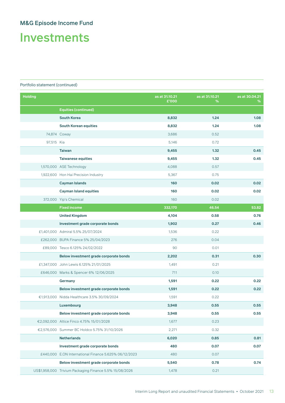Investments

| <b>Holding</b> |                                                         | as at 31.10.21<br>£'000 | as at 31.10.21<br>% | as at 30.04.21<br>% |
|----------------|---------------------------------------------------------|-------------------------|---------------------|---------------------|
|                | <b>Equities (continued)</b>                             |                         |                     |                     |
|                | <b>South Korea</b>                                      | 8,832                   | 1.24                | 1.08                |
|                | <b>South Korean equities</b>                            | 8,832                   | 1.24                | 1.08                |
|                | 74,874 Coway                                            | 3,686                   | 0.52                |                     |
| 97,515 Kia     |                                                         | 5,146                   | 0.72                |                     |
|                | <b>Taiwan</b>                                           | 9,455                   | 1.32                | 0.45                |
|                | <b>Taiwanese equities</b>                               | 9,455                   | 1.32                | 0.45                |
|                | 1,570,000 ASE Technology                                | 4,088                   | 0.57                |                     |
|                | 1,922,600 Hon Hai Precision Industry                    | 5,367                   | 0.75                |                     |
|                | Cayman Islands                                          | 160                     | 0.02                | 0.02                |
|                | <b>Cayman Island equities</b>                           | 160                     | 0.02                | 0.02                |
|                | 372,000 Yip's Chemical                                  | 160                     | 0.02                |                     |
|                | <b>Fixed income</b>                                     | 332,170                 | 46.54               | 53.82               |
|                | <b>United Kingdom</b>                                   | 4,104                   | 0.58                | 0.76                |
|                | Investment grade corporate bonds                        | 1,902                   | 0.27                | 0.46                |
|                | £1,401,000 Admiral 5.5% 25/07/2024                      | 1,536                   | 0.22                |                     |
|                | £262,000 BUPA Finance 5% 25/04/2023                     | 276                     | 0.04                |                     |
|                | £89,000 Tesco 6.125% 24/02/2022                         | 90                      | 0.01                |                     |
|                | Below investment grade corporate bonds                  | 2,202                   | 0.31                | 0.30                |
|                | £1,347,000 John Lewis 6.125% 21/01/2025                 | 1,491                   | 0.21                |                     |
|                | £646,000 Marks & Spencer 6% 12/06/2025                  | 711                     | 0.10                |                     |
|                | Germany                                                 | 1,591                   | 0.22                | 0.22                |
|                | Below investment grade corporate bonds                  | 1,591                   | 0.22                | 0.22                |
|                | €1,913,000 Nidda Healthcare 3.5% 30/09/2024             | 1,591                   | 0.22                |                     |
|                | Luxembourg                                              | 3,948                   | 0.55                | 0.55                |
|                | Below investment grade corporate bonds                  | 3,948                   | 0.55                | 0.55                |
|                | €2,092,000 Altice Finco 4.75% 15/01/2028                | 1,677                   | 0.23                |                     |
|                | €2,576,000 Summer BC Holdco 5.75% 31/10/2026            | 2,271                   | 0.32                |                     |
|                | <b>Netherlands</b>                                      | 6,020                   | 0.85                | 0.81                |
|                | Investment grade corporate bonds                        | 480                     | 0.07                | 0.07                |
|                | £440,000 E.ON International Finance 5.625% 06/12/2023   | 480                     | 0.07                |                     |
|                | Below investment grade corporate bonds                  | 5,540                   | 0.78                | 0.74                |
|                | US\$1,958,000 Trivium Packaging Finance 5.5% 15/08/2026 | 1,478                   | 0.21                |                     |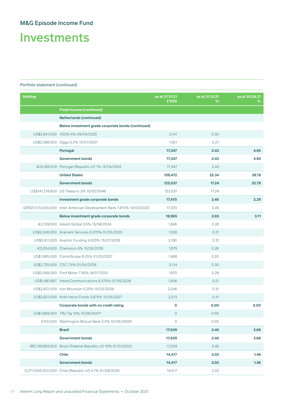Investments

| <b>Holding</b> |                                                                      | as at 31.10.21<br>£'000 | as at 31.10.21<br>% | as at 30.04.21<br>% |
|----------------|----------------------------------------------------------------------|-------------------------|---------------------|---------------------|
|                | <b>Fixed income (continued)</b>                                      |                         |                     |                     |
|                | <b>Netherlands (continued)</b>                                       |                         |                     |                     |
|                | Below investment grade corporate bonds (continued)                   |                         |                     |                     |
|                | US\$2,847,000 VEON 4% 09/04/2025                                     | 2,141                   | 0.30                |                     |
|                | US\$2,568,000 Ziggo 5.5% 15/01/2027                                  | 1,921                   | 0.27                |                     |
|                | Portugal                                                             | 17,347                  | 2.43                | 4.95                |
|                | <b>Government bonds</b>                                              | 17,347                  | 2.43                | 4.95                |
|                | €22,269,519 Portugal (Republic of) 1% 12/04/2052                     | 17,347                  | 2.43                |                     |
|                | <b>United States</b>                                                 | 159,472                 | 22.34               | 28.19               |
|                | <b>Government bonds</b>                                              | 123,037                 | 17.24               | 22.79               |
|                | US\$141,218,600 US Treasury 3% 15/02/2048                            | 123,037                 | 17.24               |                     |
|                | Investment grade corporate bonds                                     | 17,470                  | 2.45                | 2.29                |
|                | IDR327,570,000,000 Inter-American Development Bank 7.875% 14/03/2023 | 17,470                  | 2.45                |                     |
|                | Below investment grade corporate bonds                               | 18,965                  | 2.65                | 3.11                |
|                | €2,159,000 Adient Global 3.5% 15/08/2024                             | 1,846                   | 0.26                |                     |
|                | US\$2,006,000 Aramark Services 6.375% 01/05/2025                     | 1,528                   | 0.21                |                     |
|                | US\$2,911,000 Avantor Funding 4.625% 15/07/2028                      | 2,190                   | 0.31                |                     |
|                | €2,204,000 Chemours 4% 15/05/2026                                    | 1,879                   | 0.26                |                     |
|                | US\$1,985,000 CommScope 8.25% 01/03/2027                             | 1,468                   | 0.20                |                     |
|                | US\$2,725,000 CSC 7.5% 01/04/2028                                    | 2,114                   | 0.30                |                     |
|                | US\$2,068,000 Ford Motor 7.45% 16/07/2031                            | 1,975                   | 0.28                |                     |
|                | US\$1,981,857 iHeartCommunications 6.375% 01/05/2026                 | 1,506                   | 0.21                |                     |
|                | US\$2,972,000 Iron Mountain 5.25% 15/03/2028                         | 2,246                   | 0.31                |                     |
|                | US\$2,821,000 Kraft Heinz Foods 3.875% 15/05/2027                    | 2,213                   | 0.31                |                     |
|                | Corporate bonds with no credit rating                                | O                       | 0.00                | 0.00                |
|                | US\$1,869,000 TRU Taj 12% 15/08/2021a                                | $\circ$                 | 0.00                |                     |
|                | £150,000 Washington Mutual Bank 5.5% 10/06/2059 <sup>a</sup>         | $\circ$                 | 0.00                |                     |
|                | <b>Brazil</b>                                                        | 17,509                  | 2.45                | 2.66                |
|                | <b>Government bonds</b>                                              | 17,509                  | 2.45                | 2.66                |
|                | BRL139,869,000 Brazil (Federal Republic of) 10% 01/01/2023           | 17,509                  | 2.45                |                     |
|                | <b>Chile</b>                                                         | 14,417                  | 2.02                | 1.46                |
|                | <b>Government bonds</b>                                              | 14,417                  | 2.02                | 1.46                |
|                | CLP17,645,000,000 Chile (Republic of) 4.7% 01/09/2030                | 14,417                  | 2.02                |                     |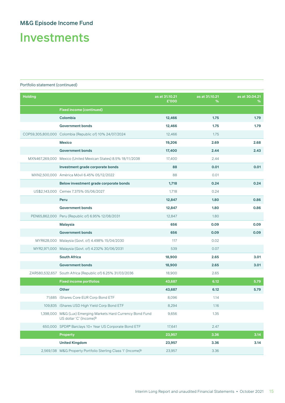Investments

| <b>Holding</b> |                                                                                                     | as at 31.10.21<br>£'000 | as at 31.10.21<br>% | as at 30.04.21<br>% |
|----------------|-----------------------------------------------------------------------------------------------------|-------------------------|---------------------|---------------------|
|                | <b>Fixed income (continued)</b>                                                                     |                         |                     |                     |
|                | Colombia                                                                                            | 12,466                  | 1.75                | 1.79                |
|                | <b>Government bonds</b>                                                                             | 12,466                  | 1.75                | 1.79                |
|                | COP59,305,800,000 Colombia (Republic of) 10% 24/07/2024                                             | 12,466                  | 1.75                |                     |
|                | <b>Mexico</b>                                                                                       | 19,206                  | 2.69                | 2.68                |
|                | <b>Government bonds</b>                                                                             | 17,400                  | 2.44                | 2.43                |
|                | MXN467,269,000 Mexico (United Mexican States) 8.5% 18/11/2038                                       | 17,400                  | 2.44                |                     |
|                | Investment grade corporate bonds                                                                    | 88                      | 0.01                | 0.01                |
|                | MXN2,500,000 América Móvil 6.45% 05/12/2022                                                         | 88                      | 0.01                |                     |
|                | Below investment grade corporate bonds                                                              | 1,718                   | 0.24                | 0.24                |
|                | US\$2,143,000 Cemex 7.375% 05/06/2027                                                               | 1,718                   | 0.24                |                     |
|                | Peru                                                                                                | 12,847                  | 1.80                | 0.86                |
|                | <b>Government bonds</b>                                                                             | 12,847                  | 1.80                | 0.86                |
|                | PEN65,862,000 Peru (Republic of) 6.95% 12/08/2031                                                   | 12,847                  | 1.80                |                     |
|                | <b>Malaysia</b>                                                                                     | 656                     | 0.09                | 0.09                |
|                | <b>Government bonds</b>                                                                             | 656                     | 0.09                | 0.09                |
|                | MYR628,000 Malaysia (Govt. of) 4.498% 15/04/2030                                                    | 117                     | 0.02                |                     |
|                | MYR2,971,000 Malaysia (Govt. of) 4.232% 30/06/2031                                                  | 539                     | 0.07                |                     |
|                | <b>South Africa</b>                                                                                 | 18,900                  | 2.65                | 3.01                |
|                | <b>Government bonds</b>                                                                             | 18,900                  | 2.65                | 3.01                |
|                | ZAR580,532,657 South Africa (Republic of) 6.25% 31/03/2036                                          | 18,900                  | 2.65                |                     |
|                | <b>Fixed income portfolios</b>                                                                      | 43,687                  | 6.12                | 5.79                |
|                | <b>Other</b>                                                                                        | 43,687                  | 6.12                | 5.79                |
|                | 71,685 iShares Core EUR Corp Bond ETF                                                               | 8,096                   | 1.14                |                     |
|                | 109,835 iShares USD High Yield Corp Bond ETF                                                        | 8,294                   | 1.16                |                     |
|                | 1,398,000 M&G (Lux) Emerging Markets Hard Currency Bond Fund<br>US dollar 'C' (Income) <sup>b</sup> | 9,656                   | 1.35                |                     |
|                | 650,000 SPDR® Barclays 10+ Year US Corporate Bond ETF                                               | 17,641                  | 2.47                |                     |
|                | <b>Property</b>                                                                                     | 23,957                  | 3.36                | 3.14                |
|                | <b>United Kingdom</b>                                                                               | 23,957                  | 3.36                | 3.14                |
|                | 2,569,138 M&G Property Portfolio Sterling Class 'l' (Income) <sup>b</sup>                           | 23,957                  | 3.36                |                     |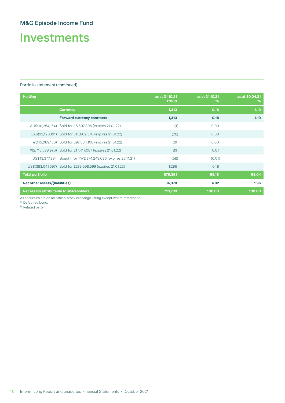# Investments

#### Portfolio statement (continued)

| <b>Holding</b>                                              | as at 31.10.21<br>£'000 | as at 31.10.21<br>% | as at 30.04.21<br>% |
|-------------------------------------------------------------|-------------------------|---------------------|---------------------|
| <b>Currency</b>                                             | 1,313                   | 0.18                | 1.19                |
| <b>Forward currency contracts</b>                           | 1,313                   | 0.18                | 1.19                |
| AU\$(10,254,154) Sold for £5,607,806 (expires 21.01.22)     | (1)                     | 0.00                |                     |
| CA\$(23,190,191) Sold for £13,609,578 (expires 21.01.22)    | (26)                    | 0.00                |                     |
| €(115,089,156) Sold for £97,504,108 (expires 21.01.22)      | 29                      | 0.00                |                     |
| ¥(2,715,588,970) Sold for £17,417,087 (expires 21.01.22)    | 83                      | 0.01                |                     |
| US\$13,377,984 Bought for TWD374,249,096 (expires 26.11.21) | (58)                    | (0.01)              |                     |
| US\$(383,041,597) Sold for £279,098,599 (expires 21.01.22)  | 1,286                   | 0.18                |                     |
| <b>Total portfolio</b>                                      | 679,361                 | 95.18               | 98.04               |
| Net other assets/(liabilities)                              | 34,378                  | 4.82                | 1.96                |
| Net assets attributable to shareholders                     | 713,739                 | 100.00              | 100.00              |

All securities are on an official stock exchange listing except where referenced.

a Defaulted bond.

b Related party.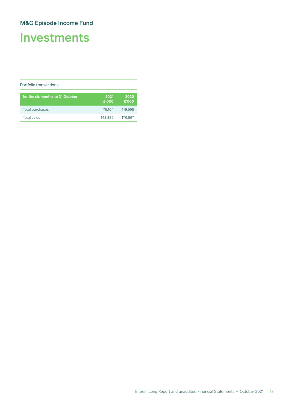# Investments

#### Portfolio transactions

| for the six months to 31 October | 2021<br>£'000 | 2020<br>£'000 |
|----------------------------------|---------------|---------------|
| Total purchases                  | 76.164        | 119,595       |
| Total sales                      | 148.385       | 176,567       |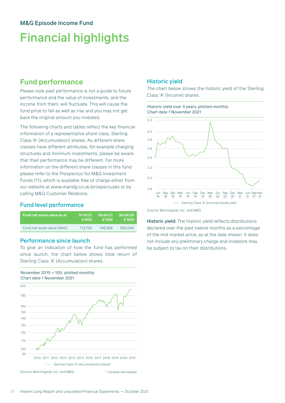# Financial highlights

## **Fund performance**

Please note past performance is not a guide to future performance and the value of investments, and the income from them, will fluctuate. This will cause the fund price to fall as well as rise and you may not get back the original amount you invested.

The following charts and tables reflect the key financial information of a representative share class, Sterling Class 'A' (Accumulation) shares. As different share classes have different attributes, for example charging structures and minimum investments, please be aware that their performance may be different. For more information on the different share classes in this fund please refer to the Prospectus for M&G Investment Funds (11), which is available free of charge either from our website at www.mandg.co.uk/prospectuses or by calling M&G Customer Relations.

#### Fund level performance

| Fund net asset value as at | 31.10.21 | 30.04.21 | 30.04.20 |
|----------------------------|----------|----------|----------|
|                            | £'000    | £'000    | £'000    |
| Fund net asset value (NAV) | 713.739  | 746.568  | 835,040  |

#### Performance since launch

To give an indication of how the fund has performed since launch, the chart below shows total return of Sterling Class 'A' (Accumulation) shares.





### Historic yield

The chart below shows the historic yield of the Sterling Class 'A' (Income) shares.

#### Historic yield over 3 years, plotted monthly Chart date 1 November 2021



Source: Morningstar, Inc. and M&G

Historic yield: The historic yield reflects distributions declared over the past twelve months as a percentage of the mid-market price, as at the date shown. It does not include any preliminary charge and investors may be subject to tax on their distributions.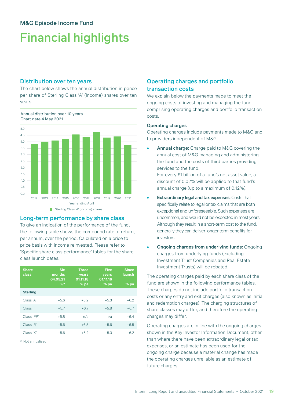# Financial highlights

#### Distribution over ten years

Annual distribution over 10 years

The chart below shows the annual distribution in pence per share of Sterling Class 'A' (Income) shares over ten years.

0.5 1.0 1.5 2.0 2.5 3.0 4.5  $4.0$ 3.5 5.0  $0.0$ 2012 2013 2014 2015 2016 2017 2018 2019 2020 2021 Chart date 4 May 2021 Sterling Class 'A' (Income) shares Year ending April

#### Long-term performance by share class

To give an indication of the performance of the fund, the following table shows the compound rate of return, per annum, over the period. Calculated on a price to price basis with income reinvested. Please refer to 'Specific share class performance' tables for the share class launch dates.

| <b>Share</b><br>class | <b>Six</b><br>months<br>04.05.21<br>%a | <b>Three</b><br>years<br>01.11.18<br>$%$ pa | <b>Five</b><br>years<br>01.11.16<br>$%$ pa | <b>Since</b><br>launch<br>$%$ pa |
|-----------------------|----------------------------------------|---------------------------------------------|--------------------------------------------|----------------------------------|
| <b>Sterling</b>       |                                        |                                             |                                            |                                  |
| Class 'A'             | $+5.6$                                 | $+6.2$                                      | $+5.3$                                     | $+6.2$                           |
| Class 'l'             | $+5.7$                                 | $+6.7$                                      | $+5.8$                                     | $+6.7$                           |
| Class 'PP'            | $+5.8$                                 | n/a                                         | n/a                                        | $+6.4$                           |
| Class 'R'             | $+5.6$                                 | $+6.5$                                      | $+5.6$                                     | $+6.5$                           |
| Class 'X'             | $+5.6$                                 | $+6.2$                                      | $+5.3$                                     | $+6.2$                           |

a Not annualised.

#### Operating charges and portfolio transaction costs

We explain below the payments made to meet the ongoing costs of investing and managing the fund, comprising operating charges and portfolio transaction costs.

#### Operating charges

Operating charges include payments made to M&G and to providers independent of M&G:

Annual charge: Charge paid to M&G covering the annual cost of M&G managing and administering the fund and the costs of third parties providing services to the fund.

For every £1 billion of a fund's net asset value, a discount of 0.02% will be applied to that fund's annual charge (up to a maximum of 0.12%).

- **Extraordinary legal and tax expenses: Costs that** specifically relate to legal or tax claims that are both exceptional and unforeseeable. Such expenses are uncommon, and would not be expected in most years. Although they result in a short-term cost to the fund, generally they can deliver longer term benefits for investors.
- Ongoing charges from underlying funds: Ongoing charges from underlying funds (excluding Investment Trust Companies and Real Estate Investment Trusts) will be rebated.

The operating charges paid by each share class of the fund are shown in the following performance tables. These charges do not include portfolio transaction costs or any entry and exit charges (also known as initial and redemption charges). The charging structures of share classes may differ, and therefore the operating charges may differ.

Operating charges are in line with the ongoing charges shown in the Key Investor Information Document, other than where there have been extraordinary legal or tax expenses, or an estimate has been used for the ongoing charge because a material change has made the operating charges unreliable as an estimate of future charges.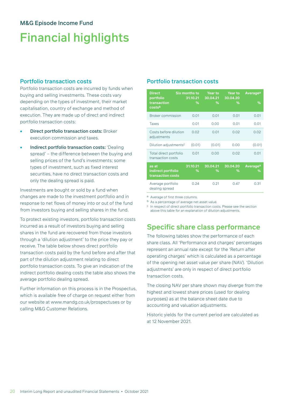# Financial highlights

#### Portfolio transaction costs

Portfolio transaction costs are incurred by funds when buying and selling investments. These costs vary depending on the types of investment, their market capitalisation, country of exchange and method of execution. They are made up of direct and indirect portfolio transaction costs:

- **Direct portfolio transaction costs: Broker** execution commission and taxes.
- Indirect portfolio transaction costs: 'Dealing spread' – the difference between the buying and selling prices of the fund's investments; some types of investment, such as fixed interest securities, have no direct transaction costs and only the dealing spread is paid.

Investments are bought or sold by a fund when changes are made to the investment portfolio and in response to net flows of money into or out of the fund from investors buying and selling shares in the fund.

To protect existing investors, portfolio transaction costs incurred as a result of investors buying and selling shares in the fund are recovered from those investors through a 'dilution adjustment' to the price they pay or receive. The table below shows direct portfolio transaction costs paid by the fund before and after that part of the dilution adjustment relating to direct portfolio transaction costs. To give an indication of the indirect portfolio dealing costs the table also shows the average portfolio dealing spread.

Further information on this process is in the Prospectus, which is available free of charge on request either from our website at www.mandg.co.uk/prospectuses or by calling M&G Customer Relations.

### Portfolio transaction costs

| <b>Direct</b><br>portfolio                       | <b>Six months to</b><br>31.10.21 | <b>Year to</b><br>30.04.21 | <b>Year to</b><br>30.04.20 | Average <sup>a</sup> |
|--------------------------------------------------|----------------------------------|----------------------------|----------------------------|----------------------|
| transaction<br>costsb                            | $\%$                             | %                          | ℅                          | $\%$                 |
| <b>Broker commission</b>                         | 0.01                             | 0.01                       | 0.01                       | 0.01                 |
| <b>Taxes</b>                                     | 0.01                             | 0.00                       | 0.01                       | 0.01                 |
| Costs before dilution<br>adjustments             | 0.02                             | 0.01                       | 0.02                       | 0.02                 |
| Dilution adjustmentsc                            | (0.01)                           | (0.01)                     | 0.00                       | (0.01)               |
| Total direct portfolio<br>transaction costs      | 0.01                             | 0.00                       | 0.02                       | 0.01                 |
| as at<br>Indirect portfolio<br>transaction costs | 31.10.21<br>℅                    | 30.04.21<br>%              | 30.04.20<br>℅              | Averagea<br>%        |
| Average portfolio<br>dealing spread              | O 24                             | 0.21                       | 0.47                       | O 31                 |

a Average of first three columns.

b As a percentage of average net asset value.

c In respect of direct portfolio transaction costs. Please see the section above this table for an explanation of dilution adjustments.

## **Specific share class performance**

The following tables show the performance of each share class. All 'Performance and charges' percentages represent an annual rate except for the 'Return after operating charges' which is calculated as a percentage of the opening net asset value per share (NAV). 'Dilution adjustments' are only in respect of direct portfolio transaction costs.

The closing NAV per share shown may diverge from the highest and lowest share prices (used for dealing purposes) as at the balance sheet date due to accounting and valuation adjustments.

Historic yields for the current period are calculated as at 12 November 2021.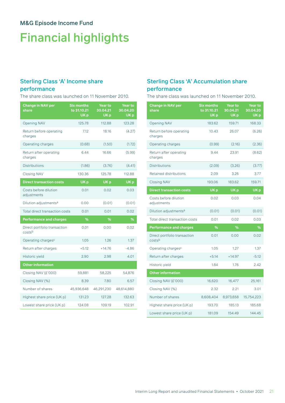# Financial highlights

## Sterling Class 'A' Income share

### performance

The share class was launched on 11 November 2010.

| <b>Change in NAV per</b><br>share      | <b>Six months</b><br>to 31.10.21<br>UK <sub>p</sub> | <b>Year to</b><br>30.04.21<br>UK <sub>p</sub> | <b>Year to</b><br>30.04.20<br>UK <sub>p</sub> |
|----------------------------------------|-----------------------------------------------------|-----------------------------------------------|-----------------------------------------------|
| <b>Opening NAV</b>                     | 125.78                                              | 112.88                                        | 123.28                                        |
| Return before operating<br>charges     | 7.12                                                | 18.16                                         | (4.27)                                        |
| Operating charges                      | (0.68)                                              | (1.50)                                        | (1.72)                                        |
| Return after operating<br>charges      | 6.44                                                | 16.66                                         | (5.99)                                        |
| <b>Distributions</b>                   | (1.86)                                              | (3.76)                                        | (4.41)                                        |
| <b>Closing NAV</b>                     | 130.36                                              | 125.78                                        | 112.88                                        |
| <b>Direct transaction costs</b>        | UK <sub>p</sub>                                     | UK <sub>p</sub>                               | UK <sub>p</sub>                               |
| Costs before dilution<br>adjustments   | 0.01                                                | 0.02                                          | 0.03                                          |
| Dilution adjustments <sup>a</sup>      | 0.00                                                | (0.01)                                        | (0.01)                                        |
| Total direct transaction costs         | 0.01                                                | 0.01                                          | 0.02                                          |
| <b>Performance and charges</b>         | %                                                   | %                                             | %                                             |
| Direct portfolio transaction<br>costsb | 0.01                                                | 0.00                                          | 0.02                                          |
| Operating charges <sup>c</sup>         | 1.05                                                | 1.26                                          | 1.37                                          |
| Return after charges                   | $+5.12$                                             | $+14.76$                                      | $-4.86$                                       |
| Historic yield                         | 2.90                                                | 2.98                                          | 4.01                                          |
| <b>Other information</b>               |                                                     |                                               |                                               |
| Closing NAV (£'000)                    | 59,881                                              | 58,225                                        | 54,876                                        |
| Closing NAV (%)                        | 8.39                                                | 7.80                                          | 6.57                                          |
| Number of shares                       | 45,936,648                                          | 46,291,230                                    | 48,614,880                                    |
| Highest share price (UK p)             | 131.23                                              | 127.28                                        | 132.63                                        |
| Lowest share price (UK p)              | 124.08                                              | 109.19                                        | 102.91                                        |

### Sterling Class 'A' Accumulation share performance

The share class was launched on 11 November 2010.

| <b>Change in NAV per</b><br>share      | <b>Six months</b><br>to 31.10.21<br>UK <sub>p</sub> | <b>Year to</b><br>30.04.21<br>UK <sub>p</sub> | <b>Year to</b><br>30.04.20<br>UK p |
|----------------------------------------|-----------------------------------------------------|-----------------------------------------------|------------------------------------|
| <b>Opening NAV</b>                     | 183.62                                              | 159.71                                        | 168.33                             |
| Return before operating<br>charges     | 10.43                                               | 26.07                                         | (6.26)                             |
| Operating charges                      | (0.99)                                              | (2.16)                                        | (2.36)                             |
| Return after operating<br>charges      | 9.44                                                | 23.91                                         | (8.62)                             |
| <b>Distributions</b>                   | (2.09)                                              | (3.26)                                        | (3.77)                             |
| Retained distributions                 | 2.09                                                | 3.26                                          | 3.77                               |
| <b>Closing NAV</b>                     | 193.06                                              | 183.62                                        | 159.71                             |
| <b>Direct transaction costs</b>        | UK <sub>p</sub>                                     | UK <sub>p</sub>                               | UK <sub>p</sub>                    |
| Costs before dilution<br>adjustments   | 0.02                                                | 0.03                                          | 0.04                               |
| Dilution adjustments <sup>a</sup>      | (0.01)                                              | (0.01)                                        | (0.01)                             |
| Total direct transaction costs         | 0.01                                                | 0.02                                          | 0.03                               |
| <b>Performance and charges</b>         | %                                                   | %                                             | %                                  |
| Direct portfolio transaction<br>costsb | 0.01                                                | 0.00                                          | 0.02                               |
| Operating charges <sup>c</sup>         | 1.05                                                | 1.27                                          | 1.37                               |
| Return after charges                   | $+5.14$                                             | $+14.97$                                      | $-5.12$                            |
| Historic yield                         | 1.84                                                | 1.76                                          | 2.42                               |
| <b>Other information</b>               |                                                     |                                               |                                    |
| Closing NAV (£'000)                    | 16,620                                              | 16,477                                        | 25,161                             |
| Closing NAV (%)                        | 2.32                                                | 2.21                                          | 3.01                               |
| Number of shares                       | 8,608,404                                           | 8,973,658                                     | 15,754,223                         |
| Highest share price (UK p)             | 193.70                                              | 185.13                                        | 185.68                             |
| Lowest share price (UK p)              | 181.09                                              | 154.49                                        | 144.45                             |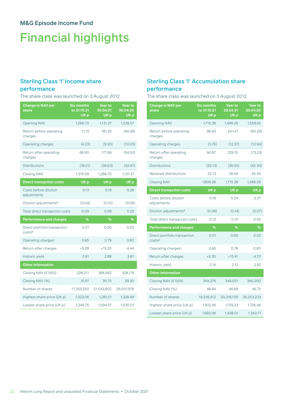# Financial highlights

# Sterling Class 'I' Income share

### performance

The share class was launched on 3 August 2012.

| <b>Change in NAV per</b><br>share      | <b>Six months</b><br>to 31.10.21<br>UK <sub>p</sub> | <b>Year to</b><br>30.04.21<br>UK <sub>p</sub> | <b>Year to</b><br>30.04.20<br>UK <sub>p</sub> |
|----------------------------------------|-----------------------------------------------------|-----------------------------------------------|-----------------------------------------------|
| <b>Opening NAV</b>                     | 1,266.70                                            | 1,131.37                                      | 1,228.57                                      |
| Return before operating<br>charges     | 71.13                                               | 181.26                                        | (44.48)                                       |
| Operating charges                      | (4.23)                                              | (9.30)                                        | (10.05)                                       |
| Return after operating<br>charges      | 66.90                                               | 171.96                                        | (54.53)                                       |
| <b>Distributions</b>                   | (18.51)                                             | (36.63)                                       | (42.67)                                       |
| <b>Closing NAV</b>                     | 1,315.09                                            | 1,266.70                                      | 1,131.37                                      |
| <b>Direct transaction costs</b>        | UK <sub>p</sub>                                     | UK <sub>p</sub>                               | UK <sub>p</sub>                               |
| Costs before dilution<br>adjustments   | 0.13                                                | 0.18                                          | 0.28                                          |
| Dilution adjustments <sup>a</sup>      | (0.04)                                              | (0.10)                                        | (0.06)                                        |
| Total direct transaction costs         | 0.09                                                | 0.08                                          | 0.22                                          |
| <b>Performance and charges</b>         | %                                                   | %                                             | %                                             |
| Direct portfolio transaction<br>costsb | 0.01                                                | 0.00                                          | 0.02                                          |
| Operating charges <sup>c</sup>         | 0.65                                                | 0.79                                          | 0.80                                          |
| Return after charges                   | $+5.28$                                             | $+15.20$                                      | $-4.44$                                       |
| Historic yield                         | 2.81                                                | 2.88                                          | 3.87                                          |
| <b>Other information</b>               |                                                     |                                               |                                               |
| Closing NAV (£'000)                    | 228,211                                             | 266,562                                       | 328,119                                       |
| Closing NAV (%)                        | 31.97                                               | 35.70                                         | 39.30                                         |
| Number of shares                       | 17,353,250                                          | 21,043,802                                    | 29,001,978                                    |
| Highest share price (UK p)             | 1,323.06                                            | 1,281.01                                      | 1,326.49                                      |
| Lowest share price (UK p)              | 1,249.75                                            | 1,094.57                                      | 1,030.07                                      |

### Sterling Class 'I' Accumulation share performance

The share class was launched on 3 August 2012.

| <b>Change in NAV per</b><br>share      | <b>Six months</b><br>to 31.10.21<br>UK <sub>p</sub> | Year to<br>30.04.21<br>UK <sub>p</sub> | Year to<br>30.04.20<br>UK <sub>p</sub> |
|----------------------------------------|-----------------------------------------------------|----------------------------------------|----------------------------------------|
| <b>Opening NAV</b>                     | 1,715.39                                            | 1,486.29                               | 1,559.52                               |
| Return before operating<br>charges     | 96.63                                               | 241.47                                 | (60.29)                                |
| Operating charges                      | (5.76)                                              | (12.37)                                | (12.94)                                |
| Return after operating<br>charges      | 90.87                                               | 229.10                                 | (73.23)                                |
| <b>Distributions</b>                   | (22.13)                                             | (36.55)                                | (42.30)                                |
| <b>Retained distributions</b>          | 22.13                                               | 36.55                                  | 42.30                                  |
| <b>Closing NAV</b>                     | 1,806.26                                            | 1,715.39                               | 1,486.29                               |
| <b>Direct transaction costs</b>        | UK <sub>p</sub>                                     | UK <sub>p</sub>                        | UK <sub>p</sub>                        |
| Costs before dilution<br>adjustments   | 0.18                                                | 0.24                                   | 0.37                                   |
| Dilution adjustments <sup>a</sup>      | (0.06)                                              | (0.14)                                 | (0.07)                                 |
| Total direct transaction costs         | 0.12                                                | 0.10                                   | 0.30                                   |
| <b>Performance and charges</b>         | %                                                   | %                                      | %                                      |
| Direct portfolio transaction<br>costsb | 0.01                                                | 0.00                                   | 0.02                                   |
| Operating charges <sup>c</sup>         | 0.65                                                | 0.78                                   | 0.80                                   |
| Return after charges                   | $+5.30$                                             | $+15.41$                               | $-4.70$                                |
| Historic yield                         | 2.16                                                | 2.12                                   | 2.92                                   |
| <b>Other information</b>               |                                                     |                                        |                                        |
| Closing NAV (£'000)                    | 349,276                                             | 348,501                                | 390,200                                |
| Closing NAV (%)                        | 48.94                                               | 46.68                                  | 46.73                                  |
| Number of shares                       | 19,336,912                                          | 20,316,109                             | 26,253,233                             |
| Highest share price (UK p)             | 1,812.46                                            | 1.729.23                               | 1,726.46                               |
| Lowest share price (UK p)              | 1,692.06                                            | 1,438.01                               | 1,343.71                               |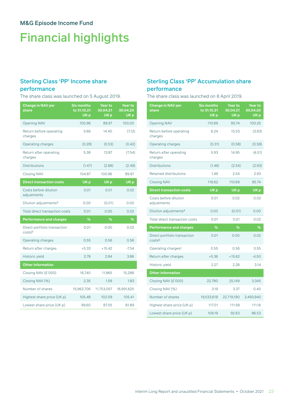# Financial highlights

## Sterling Class 'PP' Income share

### performance

The share class was launched on 5 August 2019.

| <b>Change in NAV per</b><br>share      | <b>Six months</b><br>to 31.10.21<br>UK <sub>p</sub> | Year to<br>30.04.21<br>UK <sub>p</sub> | Year to<br>30.04.20<br>UK <sub>p</sub> |
|----------------------------------------|-----------------------------------------------------|----------------------------------------|----------------------------------------|
| <b>Opening NAV</b>                     | 100.96                                              | 89.97                                  | 100.00                                 |
| Return before operating<br>charges     | 5.66                                                | 14.40                                  | (7.12)                                 |
| Operating charges                      | (0.28)                                              | (0.53)                                 | (0.42)                                 |
| Return after operating<br>charges      | 5.38                                                | 13.87                                  | (7.54)                                 |
| <b>Distributions</b>                   | (1.47)                                              | (2.88)                                 | (2.49)                                 |
| <b>Closing NAV</b>                     | 104.87                                              | 100.96                                 | 89.97                                  |
| <b>Direct transaction costs</b>        | UK <sub>p</sub>                                     | UK <sub>p</sub>                        | UK <sub>p</sub>                        |
| Costs before dilution<br>adjustments   | 0.01                                                | 0.01                                   | 0.02                                   |
| Dilution adjustments <sup>a</sup>      | 0.00                                                | (0.01)                                 | 0.00                                   |
| Total direct transaction costs         | 0.01                                                | 0.00                                   | 0.02                                   |
| <b>Performance and charges</b>         | %                                                   | %                                      | %                                      |
| Direct portfolio transaction<br>costsb | 0.01                                                | 0.00                                   | 0.02                                   |
| Operating charges                      | 0.55                                                | 0.56                                   | 0.56                                   |
| Return after charges                   | $+5.33$                                             | $+15.42$                               | $-7.54$                                |
| Historic yield                         | 2.78                                                | 2.84                                   | 3.86                                   |
| <b>Other information</b>               |                                                     |                                        |                                        |
| Closing NAV (£'000)                    | 16,740                                              | 11,865                                 | 15,288                                 |
| Closing NAV (%)                        | 2.35                                                | 1.59                                   | 1.83                                   |
| Number of shares                       | 15,962,706                                          | 11,753,057                             | 16,991,625                             |
| Highest share price (UK p)             | 105.48                                              | 102.09                                 | 105.41                                 |
| Lowest share price (UK p)              | 99.60                                               | 87.05                                  | 81.89                                  |

### Sterling Class 'PP' Accumulation share performance

The share class was launched on 8 April 2019.

| <b>Change in NAV per</b><br>share      | <b>Six months</b><br>to 31.10.21<br>UK <sub>p</sub> | <b>Year to</b><br>30.04.21<br>UK <sub>p</sub> | <b>Year to</b><br>30.04.20<br>UK <sub>p</sub> |
|----------------------------------------|-----------------------------------------------------|-----------------------------------------------|-----------------------------------------------|
| <b>Opening NAV</b>                     | 110.69                                              | 95.74                                         | 100.25                                        |
| Return before operating<br>charges     | 6.24                                                | 15.53                                         | (3.93)                                        |
| Operating charges                      | (0.31)                                              | (0.58)                                        | (0.58)                                        |
| Return after operating<br>charges      | 5.93                                                | 14.95                                         | (4.51)                                        |
| <b>Distributions</b>                   | (1.49)                                              | (2.54)                                        | (2.93)                                        |
| <b>Retained distributions</b>          | 1.49                                                | 2.54                                          | 2.93                                          |
| <b>Closing NAV</b>                     | 116.62                                              | 110.69                                        | 95.74                                         |
| <b>Direct transaction costs</b>        | UK <sub>p</sub>                                     | UK <sub>p</sub>                               | UK <sub>p</sub>                               |
| Costs before dilution<br>adjustments   | 0.01                                                | 0.02                                          | 0.02                                          |
| Dilution adjustments <sup>a</sup>      | 0.00                                                | (0.01)                                        | 0.00                                          |
| <b>Total direct transaction costs</b>  | 0.01                                                | 0.01                                          | 0.02                                          |
| <b>Performance and charges</b>         | %                                                   | %                                             | %                                             |
| Direct portfolio transaction<br>costsb | 0.01                                                | 0.00                                          | 0.02                                          |
| Operating charges <sup>c</sup>         | 0.55                                                | 0.56                                          | 0.55                                          |
| Return after charges                   | $+5.36$                                             | $+15.62$                                      | $-4.50$                                       |
| Historic yield                         | 2.27                                                | 2.28                                          | 3.14                                          |
| <b>Other information</b>               |                                                     |                                               |                                               |
| Closing NAV (£'000)                    | 22,780                                              | 25,149                                        | 3,345                                         |
| Closing NAV (%)                        | 3.19                                                | 3.37                                          | 0.40                                          |
| Number of shares                       | 19,533,618                                          | 22,719,190                                    | 3,493,940                                     |
| Highest share price (UK p)             | 117.01                                              | 111.58                                        | 111.16                                        |
| Lowest share price (UK p)              | 109.19                                              | 92.63                                         | 86.53                                         |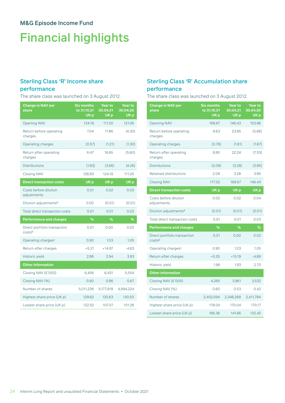# Financial highlights

# Sterling Class 'R' Income share

### performance

The share class was launched on 3 August 2012.

| <b>Change in NAV per</b><br>share      | <b>Six months</b><br>to 31.10.21<br>UK <sub>p</sub> | <b>Year to</b><br>30.04.21<br>UK <sub>p</sub> | Year to<br>30.04.20<br>UK <sub>p</sub> |
|----------------------------------------|-----------------------------------------------------|-----------------------------------------------|----------------------------------------|
| <b>Opening NAV</b>                     | 124.19                                              | 111.20                                        | 121.06                                 |
| Return before operating<br>charges     | 7.04                                                | 17.86                                         | (4.30)                                 |
| Operating charges                      | (0.57)                                              | (1.21)                                        | (1.30)                                 |
| Return after operating<br>charges      | 6.47                                                | 16.65                                         | (5.60)                                 |
| <b>Distributions</b>                   | (1.83)                                              | (3.66)                                        | (4.26)                                 |
| <b>Closing NAV</b>                     | 128.83                                              | 124.19                                        | 111.20                                 |
| <b>Direct transaction costs</b>        | UK <sub>p</sub>                                     | UK <sub>p</sub>                               | UK <sub>p</sub>                        |
| Costs before dilution<br>adjustments   | 0.01                                                | 0.02                                          | 0.03                                   |
| Dilution adjustments <sup>a</sup>      | 0.00                                                | (0.01)                                        | (0.01)                                 |
| Total direct transaction costs         | 0.01                                                | 0.01                                          | 0.02                                   |
| <b>Performance and charges</b>         | %                                                   | %                                             | %                                      |
| Direct portfolio transaction<br>costsb | 0.01                                                | 0.00                                          | 0.02                                   |
| Operating charges <sup>c</sup>         | 0.90                                                | 1.03                                          | 1.05                                   |
| Return after charges                   | $+5.21$                                             | $+14.97$                                      | $-4.63$                                |
| Historic yield                         | 2.86                                                | 2.94                                          | 3.93                                   |
| <b>Other information</b>               |                                                     |                                               |                                        |
| Closing NAV (£'000)                    | 6,456                                               | 6,431                                         | 5,554                                  |
| Closing NAV (%)                        | 0.90                                                | 0.86                                          | 0.67                                   |
| Number of shares                       | 5,011,236                                           | 5,177,918                                     | 4,994,224                              |
| Highest share price (UK p)             | 129.62                                              | 125.63                                        | 130.50                                 |
| Lowest share price (UK p)              | 122.52                                              | 107.57                                        | 101.28                                 |

### Sterling Class 'R' Accumulation share performance

The share class was launched on 3 August 2012.

| <b>Change in NAV per</b><br>share      | <b>Six months</b><br>to 31.10.21<br>UK p | Year to<br>30.04.21<br>UK <sub>p</sub> | Year to<br>30.04.20<br>UK <sub>p</sub> |
|----------------------------------------|------------------------------------------|----------------------------------------|----------------------------------------|
| <b>Opening NAV</b>                     | 168.67                                   | 146.43                                 | 153.96                                 |
| Return before operating<br>charges     | 9.63                                     | 23.85                                  | (5.86)                                 |
| Operating charges                      | (0.78)                                   | (1.61)                                 | (1.67)                                 |
| Return after operating<br>charges      | 8.85                                     | 22.24                                  | (7.53)                                 |
| <b>Distributions</b>                   | (2.09)                                   | (3.28)                                 | (3.85)                                 |
| <b>Retained distributions</b>          | 2.09                                     | 3.28                                   | 3.85                                   |
| <b>Closing NAV</b>                     | 177.52                                   | 168.67                                 | 146.43                                 |
| <b>Direct transaction costs</b>        | UK <sub>p</sub>                          | UK <sub>p</sub>                        | UK <sub>p</sub>                        |
| Costs before dilution<br>adjustments   | 0.02                                     | 0.02                                   | 0.04                                   |
| Dilution adjustments <sup>a</sup>      | (0.01)                                   | (0.01)                                 | (0.01)                                 |
| Total direct transaction costs         | 0.01                                     | 0.01                                   | 0.03                                   |
| <b>Performance and charges</b>         | %                                        | %                                      | %                                      |
| Direct portfolio transaction<br>costsb | 0.01                                     | 0.00                                   | 0.02                                   |
| Operating charges <sup>c</sup>         | 0.90                                     | 1.03                                   | 1.05                                   |
| Return after charges                   | $+5.25$                                  | $+15.19$                               | $-4.89$                                |
| Historic yield                         | 1.98                                     | 1.93                                   | 2.70                                   |
| <b>Other information</b>               |                                          |                                        |                                        |
| Closing NAV (£'000)                    | 4,265                                    | 3,961                                  | 3,532                                  |
| Closing NAV (%)                        | 0.60                                     | 0.53                                   | 0.42                                   |
| Number of shares                       | 2,402,594                                | 2,348,268                              | 2,411,784                              |
| Highest share price (UK p)             | 178.04                                   | 170.04                                 | 170.17                                 |
| Lowest share price (UK p)              | 166.36                                   | 141.66                                 | 132.42                                 |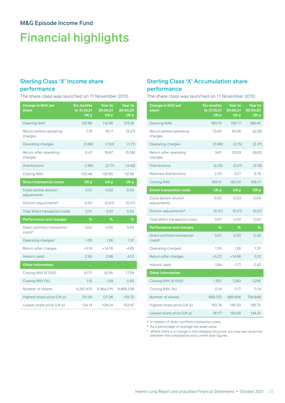# Financial highlights

## Sterling Class 'X' Income share

### performance

The share class was launched on 11 November 2010.

| <b>Change in NAV per</b><br>share      | <b>Six months</b><br>to 31.10.21<br>UK <sub>p</sub> | Year to<br>30.04.21<br>UK <sub>p</sub> | <b>Year to</b><br>30.04.20<br>UK <sub>p</sub> |
|----------------------------------------|-----------------------------------------------------|----------------------------------------|-----------------------------------------------|
| <b>Opening NAV</b>                     | 125.85                                              | 112.95                                 | 123.35                                        |
| Return before operating<br>charges     | 7.15                                                | 18.17                                  | (4.27)                                        |
| Operating charges                      | (0.68)                                              | (1.50)                                 | (1.71)                                        |
| Return after operating<br>charges      | 6.47                                                | 16.67                                  | (5.98)                                        |
| <b>Distributions</b>                   | (1.86)                                              | (3.77)                                 | (4.42)                                        |
| <b>Closing NAV</b>                     | 130.46                                              | 125.85                                 | 112.95                                        |
| <b>Direct transaction costs</b>        | UK <sub>p</sub>                                     | UK <sub>p</sub>                        | UK <sub>p</sub>                               |
| Costs before dilution<br>adjustments   | 0.01                                                | 0.02                                   | 0.03                                          |
| Dilution adjustments <sup>a</sup>      | 0.00                                                | (0.01)                                 | (0.01)                                        |
| Total direct transaction costs         | 0.01                                                | 0.01                                   | 0.02                                          |
| <b>Performance and charges</b>         | ℅                                                   | ℅                                      | %                                             |
| Direct portfolio transaction<br>costsb | 0.01                                                | 0.00                                   | 0.02                                          |
| Operating charges <sup>c</sup>         | 1.05                                                | 1.26                                   | 1.37                                          |
| Return after charges                   | $+5.14$                                             | $+14.76$                               | $-4.85$                                       |
| Historic yield                         | 2.90                                                | 2.98                                   | 4.01                                          |
| <b>Other information</b>               |                                                     |                                        |                                               |
| Closing NAV (£'000)                    | 8,177                                               | 8,135                                  | 7,759                                         |
| Closing NAV (%)                        | 1.15                                                | 1.09                                   | 0.93                                          |
| Number of shares                       | 6,267,470                                           | 6,464,015                              | 6,869,538                                     |
| Highest share price (UK p)             | 131.30                                              | 127.36                                 | 132.70                                        |
| Lowest share price (UK p)              | 124.14                                              | 109.24                                 | 102.97                                        |

### Sterling Class 'X' Accumulation share performance

The share class was launched on 11 November 2010.

| <b>Change in NAV per</b><br>share      | <b>Six months</b><br>to 31.10.21<br>UK <sub>p</sub> | <b>Year to</b><br>30.04.21<br>UK <sub>p</sub> |                 |  |  |  |  | <b>Year to</b><br>30.04.20<br>UK <sub>p</sub> |  |
|----------------------------------------|-----------------------------------------------------|-----------------------------------------------|-----------------|--|--|--|--|-----------------------------------------------|--|
| <b>Opening NAV</b>                     | 183.70                                              | 159.77                                        | 168.40          |  |  |  |  |                                               |  |
| Return before operating<br>charges     | 10.60                                               | 26.08                                         | (6.26)          |  |  |  |  |                                               |  |
| Operating charges                      | (0.99)                                              | (2.15)                                        | (2.37)          |  |  |  |  |                                               |  |
| Return after operating<br>charges      | 9.61                                                | 23.93                                         | (8.63)          |  |  |  |  |                                               |  |
| <b>Distributions</b>                   | (2.25)                                              | (3.27)                                        | (3.78)          |  |  |  |  |                                               |  |
| Retained distributions                 | 2.25                                                | 3.27                                          | 3.78            |  |  |  |  |                                               |  |
| <b>Closing NAV</b>                     | 193.31                                              | 183.70                                        | 159.77          |  |  |  |  |                                               |  |
| <b>Direct transaction costs</b>        | UK <sub>p</sub>                                     | UK <sub>p</sub>                               | UK <sub>p</sub> |  |  |  |  |                                               |  |
| Costs before dilution<br>adjustments   | 0.02                                                | 0.03                                          | 0.04            |  |  |  |  |                                               |  |
| Dilution adjustments <sup>a</sup>      | (0.01)                                              | (0.01)                                        | (0.01)          |  |  |  |  |                                               |  |
| Total direct transaction costs         | 0.01                                                | 0.02                                          | 0.03            |  |  |  |  |                                               |  |
| <b>Performance and charges</b>         | %                                                   | %                                             | %               |  |  |  |  |                                               |  |
| Direct portfolio transaction<br>costsb | 0.01                                                | 0.00                                          | 0.02            |  |  |  |  |                                               |  |
| Operating charges <sup>c</sup>         | 1.05                                                | 1.26                                          | 1.37            |  |  |  |  |                                               |  |
| Return after charges                   | $+5.23$                                             | $+14.98$                                      | $-5.12$         |  |  |  |  |                                               |  |
| Historic yield                         | 1.84                                                | 1.77                                          | 2.42            |  |  |  |  |                                               |  |
| <b>Other information</b>               |                                                     |                                               |                 |  |  |  |  |                                               |  |
| Closing NAV (£'000)                    | 1,333                                               | 1,262                                         | 1,206           |  |  |  |  |                                               |  |
| Closing NAV (%)                        | 0.19                                                | 0.17                                          | 0.14            |  |  |  |  |                                               |  |
| Number of shares                       | 689,723                                             | 686,836                                       | 754,848         |  |  |  |  |                                               |  |
| Highest share price (UK p)             | 193.78                                              | 185.20                                        | 185.75          |  |  |  |  |                                               |  |
| Lowest share price (UK p)              | 181.17                                              | 154.55                                        | 144.51          |  |  |  |  |                                               |  |

a In respect of direct portfolio transaction costs.

b As a percentage of average net asset value.

 $\,^{\rm c}$  Where there is a change in the charging structure, you may see variances between the comparative and current year figures.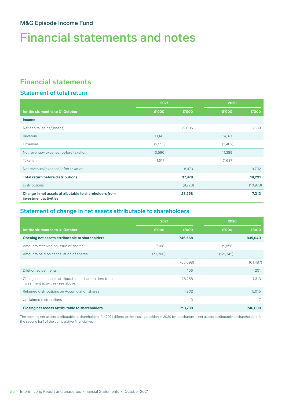# Financial statements and notes

# **Financial statements**

### Statement of total return

|                                                                                 | 2021     |         | 2020    |           |
|---------------------------------------------------------------------------------|----------|---------|---------|-----------|
| for the six months to 31 October                                                | £'000    | £'000   | £'000   | £'000     |
| <b>Income</b>                                                                   |          |         |         |           |
| Net capital gains/(losses)                                                      |          | 29,005  |         | 8,589     |
| Revenue                                                                         | 13,143   |         | 14,871  |           |
| <b>Expenses</b>                                                                 | (2, 553) |         | (3,482) |           |
| Net revenue/(expense) before taxation                                           | 10,590   |         | 11,389  |           |
| <b>Taxation</b>                                                                 | (1,617)  |         | (1,687) |           |
| Net revenue/(expense) after taxation                                            |          | 8,973   |         | 9,702     |
| <b>Total return before distributions</b>                                        |          | 37,978  |         | 18,291    |
| <b>Distributions</b>                                                            |          | (9,720) |         | (10, 978) |
| Change in net assets attributable to shareholders from<br>investment activities |          | 28,258  |         | 7,313     |

### Statement of change in net assets attributable to shareholders

|                                                                                             | 2021     |          | 2020       |            |
|---------------------------------------------------------------------------------------------|----------|----------|------------|------------|
| for the six months to 31 October                                                            | £'000    | £'000    | £'000      | £'000      |
| Opening net assets attributable to shareholders                                             |          | 746,568  |            | 835,040    |
| Amounts received on issue of shares                                                         | 7,108    |          | 19,858     |            |
| Amounts paid on cancellation of shares                                                      | (73,206) |          | (121, 345) |            |
|                                                                                             |          | (66,098) |            | (101, 487) |
| Dilution adjustments                                                                        |          | 106      |            | 201        |
| Change in net assets attributable to shareholders from<br>investment activities (see above) |          | 28,258   |            | 7,313      |
| Retained distributions on Accumulation shares                                               |          | 4,902    |            | 5,015      |
| Unclaimed distributions                                                                     |          | 3        |            | 7          |
| Closing net assets attributable to shareholders                                             |          | 713,739  |            | 746,089    |

The opening net assets attributable to shareholders for 2021 differs to the closing position in 2020 by the change in net assets attributable to shareholders for the second half of the comparative financial year.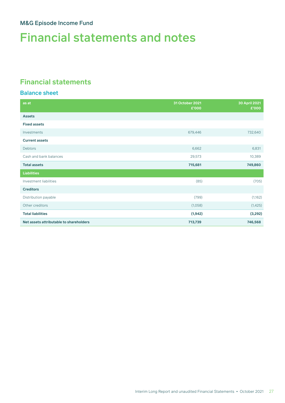# Financial statements and notes

## **Financial statements**

### Balance sheet

| as at                                   | 31 October 2021<br>£'000 | 30 April 2021<br>£'000 |
|-----------------------------------------|--------------------------|------------------------|
| <b>Assets</b>                           |                          |                        |
| <b>Fixed assets</b>                     |                          |                        |
| Investments                             | 679,446                  | 732,640                |
| <b>Current assets</b>                   |                          |                        |
| <b>Debtors</b>                          | 6,662                    | 6,831                  |
| Cash and bank balances                  | 29,573                   | 10,389                 |
| <b>Total assets</b>                     | 715,681                  | 749,860                |
| <b>Liabilities</b>                      |                          |                        |
| Investment liabilities                  | (85)                     | (705)                  |
| <b>Creditors</b>                        |                          |                        |
| Distribution payable                    | (799)                    | (1,162)                |
| Other creditors                         | (1,058)                  | (1, 425)               |
| <b>Total liabilities</b>                | (1, 942)                 | (3,292)                |
| Net assets attributable to shareholders | 713,739                  | 746,568                |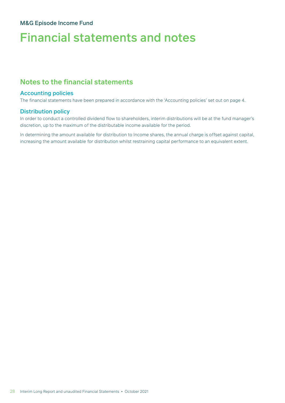# Financial statements and notes

## **Notes to the financial statements**

#### Accounting policies

The financial statements have been prepared in accordance with the 'Accounting policies' set out on page 4.

#### Distribution policy

In order to conduct a controlled dividend flow to shareholders, interim distributions will be at the fund manager's discretion, up to the maximum of the distributable income available for the period.

In determining the amount available for distribution to Income shares, the annual charge is offset against capital, increasing the amount available for distribution whilst restraining capital performance to an equivalent extent.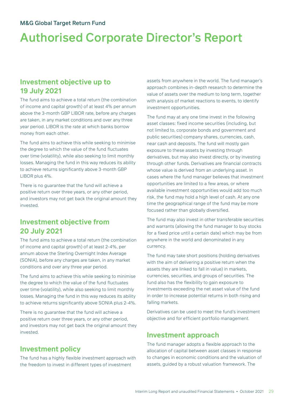# <span id="page-30-0"></span>**Investment objective up to 19 July 2021**

The fund aims to achieve a total return (the combination of income and capital growth) of at least 4% per annum above the 3-month GBP LIBOR rate, before any charges are taken, in any market conditions and over any three year period. LIBOR is the rate at which banks borrow money from each other.

The fund aims to achieve this while seeking to minimise the degree to which the value of the fund fluctuates over time (volatility), while also seeking to limit monthly losses. Managing the fund in this way reduces its ability to achieve returns significantly above 3-month GBP LIBOR plus 4%.

There is no guarantee that the fund will achieve a positive return over three years, or any other period, and investors may not get back the original amount they invested.

## **Investment objective from 20 July 2021**

The fund aims to achieve a total return (the combination of income and capital growth) of at least 2-4%, per annum above the Sterling Overnight Index Average (SONIA), before any charges are taken, in any market conditions and over any three year period.

The fund aims to achieve this while seeking to minimise the degree to which the value of the fund fluctuates over time (volatility), while also seeking to limit monthly losses. Managing the fund in this way reduces its ability to achieve returns significantly above SONIA plus 2-4%.

There is no guarantee that the fund will achieve a positive return over three years, or any other period, and investors may not get back the original amount they invested.

# **Investment policy**

The fund has a highly flexible investment approach with the freedom to invest in different types of investment

assets from anywhere in the world. The fund manager's approach combines in-depth research to determine the value of assets over the medium to long term, together with analysis of market reactions to events, to identify investment opportunities.

The fund may at any one time invest in the following asset classes: fixed income securities (including, but not limited to, corporate bonds and government and public securities) company shares, currencies, cash, near cash and deposits. The fund will mostly gain exposure to these assets by investing through derivatives, but may also invest directly, or by investing through other funds. Derivatives are financial contracts whose value is derived from an underlying asset. In cases where the fund manager believes that investment opportunities are limited to a few areas, or where available investment opportunities would add too much risk, the fund may hold a high level of cash. At any one time the geographical range of the fund may be more focused rather than globally diversified.

The fund may also invest in other transferable securities and warrants (allowing the fund manager to buy stocks for a fixed price until a certain date) which may be from anywhere in the world and denominated in any currency.

The fund may take short positions (holding derivatives with the aim of delivering a positive return when the assets they are linked to fall in value) in markets, currencies, securities, and groups of securities. The fund also has the flexibility to gain exposure to investments exceeding the net asset value of the fund in order to increase potential returns in both rising and falling markets.

Derivatives can be used to meet the fund's investment objective and for efficient portfolio management.

## **Investment approach**

The fund manager adopts a flexible approach to the allocation of capital between asset classes in response to changes in economic conditions and the valuation of assets, guided by a robust valuation framework. The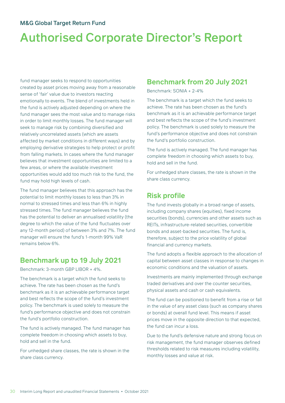# Authorised Corporate Director's Report

fund manager seeks to respond to opportunities created by asset prices moving away from a reasonable sense of 'fair' value due to investors reacting emotionally to events. The blend of investments held in the fund is actively adjusted depending on where the fund manager sees the most value and to manage risks in order to limit monthly losses. The fund manager will seek to manage risk by combining diversified and relatively uncorrelated assets (which are assets affected by market conditions in different ways) and by employing derivative strategies to help protect or profit from falling markets. In cases where the fund manager believes that investment opportunities are limited to a few areas, or where the available investment opportunities would add too much risk to the fund, the fund may hold high levels of cash.

The fund manager believes that this approach has the potential to limit monthly losses to less than 3% in normal to stressed times and less than 6% in highly stressed times. The fund manager believes the fund has the potential to deliver an annualised volatility (the degree to which the value of the fund fluctuates over any 12-month period) of between 3% and 7%. The fund manager will ensure the fund's 1-month 99% VaR remains below 6%.

## **Benchmark up to 19 July 2021**

Benchmark: 3-month GBP LIBOR + 4%.

The benchmark is a target which the fund seeks to achieve. The rate has been chosen as the fund's benchmark as it is an achievable performance target and best reflects the scope of the fund's investment policy. The benchmark is used solely to measure the fund's performance objective and does not constrain the fund's portfolio construction.

The fund is actively managed. The fund manager has complete freedom in choosing which assets to buy, hold and sell in the fund.

For unhedged share classes, the rate is shown in the share class currency.

## **Benchmark from 20 July 2021**

Benchmark: SONIA + 2-4%

The benchmark is a target which the fund seeks to achieve. The rate has been chosen as the fund's benchmark as it is an achievable performance target and best reflects the scope of the fund's investment policy. The benchmark is used solely to measure the fund's performance objective and does not constrain the fund's portfolio construction.

The fund is actively managed. The fund manager has complete freedom in choosing which assets to buy, hold and sell in the fund.

For unhedged share classes, the rate is shown in the share class currency.

## **Risk profile**

The fund invests globally in a broad range of assets, including company shares (equities), fixed income securities (bonds), currencies and other assets such as REITs, infrastructure-related securities, convertible bonds and asset-backed securities. The fund is, therefore, subject to the price volatility of global financial and currency markets.

The fund adopts a flexible approach to the allocation of capital between asset classes in response to changes in economic conditions and the valuation of assets.

Investments are mainly implemented through exchange traded derivatives and over the counter securities, physical assets and cash or cash equivalents.

The fund can be positioned to benefit from a rise or fall in the value of any asset class (such as company shares or bonds) at overall fund level. This means if asset prices move in the opposite direction to that expected, the fund can incur a loss.

Due to the fund's defensive nature and strong focus on risk management, the fund manager observes defined thresholds related to risk measures including volatility, monthly losses and value at risk.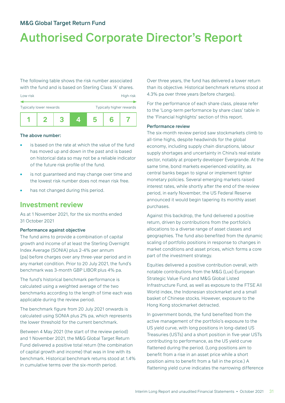# Authorised Corporate Director's Report

The following table shows the risk number associated with the fund and is based on Sterling Class 'A' shares.



#### The above number:

- is based on the rate at which the value of the fund has moved up and down in the past and is based on historical data so may not be a reliable indicator of the future risk profile of the fund.
- is not guaranteed and may change over time and the lowest risk number does not mean risk free.
- has not changed during this period.

### **Investment review**

As at 1 November 2021, for the six months ended 31 October 2021

#### Performance against objective

The fund aims to provide a combination of capital growth and income of at least the Sterling Overnight Index Average (SONIA) plus 2-4% per annum (pa) before charges over any three-year period and in any market condition. Prior to 20 July 2021, the fund's benchmark was 3-month GBP LIBOR plus 4% pa.

The fund's historical benchmark performance is calculated using a weighted average of the two benchmarks according to the length of time each was applicable during the review period.

The benchmark figure from 20 July 2021 onwards is calculated using SONIA plus 2% pa, which represents the lower threshold for the current benchmark.

Between 4 May 2021 (the start of the review period) and 1 November 2021, the M&G Global Target Return Fund delivered a positive total return (the combination of capital growth and income) that was in line with its benchmark. Historical benchmark returns stood at 1.4% in cumulative terms over the six-month period.

Over three years, the fund has delivered a lower return than its objective. Historical benchmark returns stood at 4.3% pa over three years (before charges).

For the performance of each share class, please refer to the 'Long-term performance by share class' table in the 'Financial highlights' section of this report.

#### Performance review

The six-month review period saw stockmarkets climb to all-time highs, despite headwinds for the global economy, including supply chain disruptions, labour supply shortages and uncertainty in China's real estate sector, notably at property developer Evergrande. At the same time, bond markets experienced volatility, as central banks began to signal or implement tighter monetary policies. Several emerging markets raised interest rates, while shortly after the end of the review period, in early November, the US Federal Reserve announced it would begin tapering its monthly asset purchases.

Against this backdrop, the fund delivered a positive return, driven by contributions from the portfolio's allocations to a diverse range of asset classes and geographies. The fund also benefited from the dynamic scaling of portfolio positions in response to changes in market conditions and asset prices, which forms a core part of the investment strategy.

Equities delivered a positive contribution overall, with notable contributions from the M&G (Lux) European Strategic Value Fund and M&G Global Listed Infrastructure Fund, as well as exposure to the FTSE All World index, the Indonesian stockmarket and a small basket of Chinese stocks. However, exposure to the Hong Kong stockmarket detracted.

In government bonds, the fund benefited from the active management of the portfolio's exposure to the US yield curve, with long positions in long-dated US Treasuries (USTs) and a short position in five-year USTs contributing to performance, as the US yield curve flattened during the period. (Long positions aim to benefit from a rise in an asset price while a short position aims to benefit from a fall in the price.) A flattening yield curve indicates the narrowing difference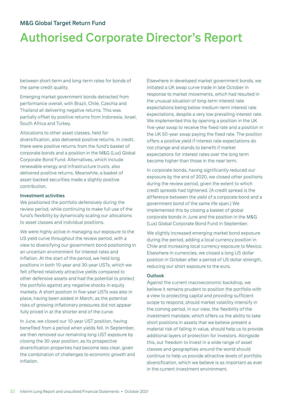# Authorised Corporate Director's Report

between short-term and long-term rates for bonds of the same credit quality.

Emerging market government bonds detracted from performance overall, with Brazil, Chile, Czechia and Thailand all delivering negative returns. This was partially offset by positive returns from Indonesia, Israel, South Africa and Turkey.

Allocations to other asset classes, held for diversification, also delivered positive returns. In credit, there were positive returns from the fund's basket of corporate bonds and a position in the M&G (Lux) Global Corporate Bond Fund. Alternatives, which include renewable energy and infrastructure trusts, also delivered positive returns. Meanwhile, a basket of asset-backed securities made a slightly positive contribution.

#### Investment activities

We positioned the portfolio defensively during the review period, while continuing to make full use of the fund's flexibility by dynamically scaling our allocations to asset classes and individual positions.

We were highly active in managing our exposure to the US yield curve throughout the review period, with a view to diversifying our government bond positioning in an uncertain environment for interest rates and inflation. At the start of the period, we held long positions in both 10-year and 30-year USTs, which we felt offered relatively attractive yields compared to other defensive assets and had the potential to protect the portfolio against any negative shocks in equity markets. A short position in five-year USTs was also in place, having been added in March, as the potential risks of growing inflationary pressures did not appear fully priced in at the shorter end of the curve.

In June, we closed our 10-year UST position, having benefited from a period when yields fell. In September, we then removed our remaining long UST exposure by closing the 30-year position, as its prospective diversification properties had become less clear, given the combination of challenges to economic growth and inflation.

Elsewhere in developed market government bonds, we initiated a UK swap curve trade in late October in response to market movements, which had resulted in the unusual situation of long-term interest rate expectations being below medium-term interest rate expectations, despite a very low prevailing interest rate. We implemented this by opening a position in the UK five-year swap to receive the fixed rate and a position in the UK 50-year swap paying the fixed rate. The position offers a positive yield if interest rate expectations do not change and stands to benefit if market expectations for interest rates over the long term become higher than those in the near term.

In corporate bonds, having significantly reduced our exposure by the end of 2020, we closed other positions during the review period, given the extent to which credit spreads had tightened. (A credit spread is the difference between the yield of a corporate bond and a government bond of the same life span.) We implemented this by closing a basket of global corporate bonds in June and the position in the M&G (Lux) Global Corporate Bond Fund in September.

We slightly increased emerging market bond exposure during the period, adding a local currency position in Chile and increasing local currency exposure to Mexico. Elsewhere in currencies, we closed a long US dollar position in October after a period of US dollar strength, reducing our short exposure to the euro.

#### **Outlook**

Against the current macroeconomic backdrop, we believe it remains prudent to position the portfolio with a view to protecting capital and providing sufficient scope to respond, should market volatility intensify in the coming period. In our view, the flexibility of the investment mandate, which offers us the ability to take short positions in assets that we believe present a material risk of falling in value, should help us to provide additional layers of protection for investors. Alongside this, our freedom to invest in a wide range of asset classes and geographies around the world should continue to help us provide attractive levels of portfolio diversification, which we believe is as important as ever in the current investment environment.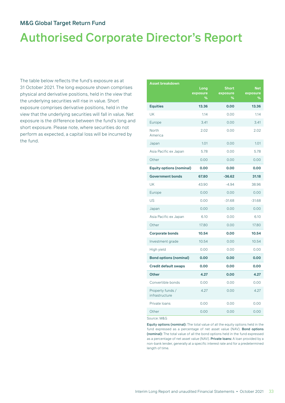# Authorised Corporate Director's Report

The table below reflects the fund's exposure as at 31 October 2021. The long exposure shown comprises physical and derivative positions, held in the view that the underlying securities will rise in value. Short exposure comprises derivative positions, held in the view that the underlying securities will fall in value. Net exposure is the difference between the fund's long and short exposure. Please note, where securities do not perform as expected, a capital loss will be incurred by the fund.

| <b>Asset breakdown</b>             | Long<br>exposure | <b>Short</b><br>exposure | <b>Net</b><br>exposure |
|------------------------------------|------------------|--------------------------|------------------------|
|                                    | %                | %                        | %                      |
| <b>Equities</b>                    | 13.36            | 0.00                     | 13.36                  |
| <b>UK</b>                          | 1.14             | 0.00                     | 1.14                   |
| Europe                             | 3.41             | 0.00                     | 3.41                   |
| North<br>America                   | 2.02             | 0.00                     | 2.02                   |
| Japan                              | 1.01             | 0.00                     | 1.01                   |
| Asia Pacific ex Japan              | 5.78             | 0.00                     | 5.78                   |
| Other                              | 0.00             | 0.00                     | 0.00                   |
| <b>Equity options (nominal)</b>    | 0.00             | 0.00                     | 0.00                   |
| <b>Government bonds</b>            | 67.80            | $-36.62$                 | 31.18                  |
| UK                                 | 43.90            | $-4.94$                  | 38.96                  |
| Europe                             | 0.00             | 0.00                     | 0.00                   |
| US                                 | 0.00             | $-31.68$                 | $-31.68$               |
| Japan                              | 0.00             | 0.00                     | 0.00                   |
| Asia Pacific ex Japan              | 6.10             | 0.00                     | 6.10                   |
| Other                              | 17.80            | 0.00                     | 17.80                  |
| <b>Corporate bonds</b>             | 10.54            | 0.00                     | 10.54                  |
| Investment grade                   | 10.54            | 0.00                     | 10.54                  |
| High yield                         | 0.00             | 0.00                     | 0.00                   |
| <b>Bond options (nominal)</b>      | 0.00             | 0.00                     | 0.00                   |
| <b>Credit default swaps</b>        | 0.00             | 0.00                     | 0.00                   |
| <b>Other</b>                       | 4.27             | 0.00                     | 4.27                   |
| Convertible bonds                  | 0.00             | 0.00                     | 0.00                   |
| Property funds /<br>infrastructure | 4.27             | 0.00                     | 4.27                   |
| Private Ioans                      | 0.00             | 0.00                     | 0.00                   |
| Other                              | 0.00             | 0.00                     | 0.00                   |

Source: M&G

Equity options (nominal): The total value of all the equity options held in the fund expressed as a percentage of net asset value (NAV). Bond options (nominal): The total value of all the bond options held in the fund expressed as a percentage of net asset value (NAV). Private loans: A loan provided by a non-bank lender, generally at a specific interest rate and for a predetermined length of time.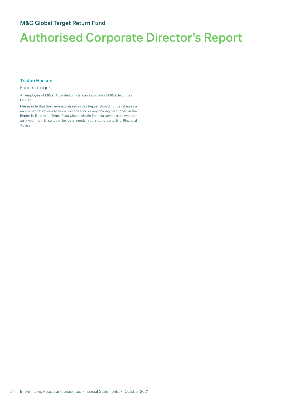#### Tristan Hanson

#### Fund manager

An employee of M&G FA Limited which is an associate of M&G Securities Limited.

Please note that the views expressed in this Report should not be taken as a recommendation or advice on how the fund or any holding mentioned in the Report is likely to perform. If you wish to obtain financial advice as to whether an investment is suitable for your needs, you should consult a Financial Adviser.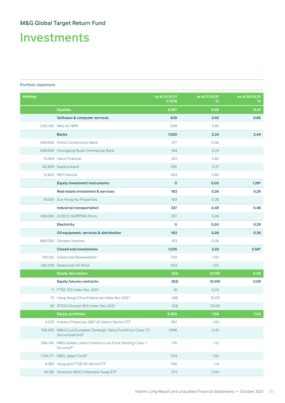# Investments

#### Portfolio statement

| <b>Holding</b> |                                                                                           | as at 31.10.21<br>£'000 | as at 31.10.21<br>% | as at 30.04.21<br>% |
|----------------|-------------------------------------------------------------------------------------------|-------------------------|---------------------|---------------------|
|                | <b>Equities</b>                                                                           | 4,497                   | 6.49                | 8.47                |
|                | <b>Software &amp; computer services</b>                                                   | 639                     | 0.92                | 0.86                |
|                | 1,162,100 NetLink NBN                                                                     | 639                     | 0.92                |                     |
|                | <b>Banks</b>                                                                              | 1,620                   | 2.34                | 2.44                |
|                | 643,000 China Construction Bank                                                           | 317                     | 0.46                |                     |
|                | 628,000 Chongqing Rural Commercial Bank                                                   | 164                     | 0.24                |                     |
|                | 15,454 Hana Financial                                                                     | 431                     | 0.62                |                     |
|                | 82,800 Kasikornbank                                                                       | 255                     | 0.37                |                     |
|                | 12,903 KB Financial                                                                       | 453                     | 0.65                |                     |
|                | <b>Equity investment instruments</b>                                                      | $\mathbf{o}$            | 0.00                | 1.29 <sup>c</sup>   |
|                | <b>Real estate investment &amp; services</b>                                              | 183                     | 0.26                | 0.29                |
|                | 19,000 Sun Hung Kai Properties                                                            | 183                     | 0.26                |                     |
|                | <b>Industrial transportation</b>                                                          | 337                     | 0.49                | 0.48                |
|                | 559,090 COSCO SHIPPING Ports                                                              | 337                     | 0.49                |                     |
|                | <b>Electricity</b>                                                                        | $\mathbf 0$             | 0.00                | 0.29                |
|                | Oil equipment, services & distribution                                                    | 183                     | 0.26                | 0.26                |
|                | 668,000 Sinopec Kantons                                                                   | 183                     | 0.26                |                     |
|                | <b>Closed end investments</b>                                                             | 1,535                   | 2.22                | 2.56 <sup>c</sup>   |
|                | 745,155 Greencoat Renewables <sup>a</sup>                                                 | 702                     | 1.02                |                     |
|                | 585,429 Greencoat UK Wind                                                                 | 833                     | 1.20                |                     |
|                | <b>Equity derivatives</b>                                                                 | (63)                    | (0.09)              | 0.08                |
|                | <b>Equity futures contracts</b>                                                           | (63)                    | (0.09)              | 0.08                |
|                | 11 FTSE 100 Index Dec 2021                                                                | 18                      | 0.03                |                     |
|                | 31 Hang Seng China Enterprise Index Nov 2021                                              | (48)                    | (0.07)              |                     |
|                | 29 STOXX Europe 600 Index Dec 2021                                                        | (33)                    | (0.05)              |                     |
|                | <b>Equity portfolios</b>                                                                  | 5,320                   | 7.68                | 7.04                |
|                | 4,575 Invesco Financials S&P US Select Sector ETF                                         | 991                     | 1.43                |                     |
|                | 168,430 M&G (Lux) European Strategic Value Fund Euro Class 'Cl'<br>(Accumulation)b        | 1,686                   | 2.43                |                     |
|                | 584,745 M&G Global Listed Infrastructure Fund Sterling Class 'l'<br>(Income) <sup>b</sup> | 776                     | 1.12                |                     |
|                | 1,155,711 M&G Japan Fundb                                                                 | 704                     | 1.02                |                     |
|                | 9,383 Vanguard FTSE All-World ETF                                                         | 790                     | 1.14                |                     |
|                | 34,182 Xtrackers MSCI Indonesia Swap ETF                                                  | 373                     | 0.54                |                     |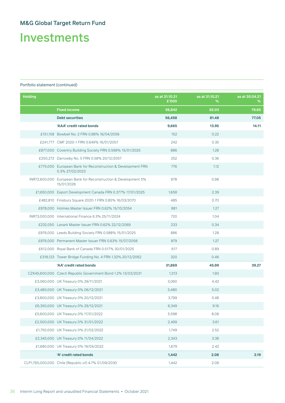Investments

| <b>Holding</b> |                                                                                | as at 31.10.21<br>£'000 | as at 31.10.21<br>% | as at 30.04.21<br>% |
|----------------|--------------------------------------------------------------------------------|-------------------------|---------------------|---------------------|
|                | <b>Fixed income</b>                                                            | 56,842                  | 82.03               | 78.65               |
|                | <b>Debt securities</b>                                                         | 56,458                  | 81.48               | 77.05               |
|                | 'AAA' credit rated bonds                                                       | 9,665                   | 13.95               | 14.11               |
|                | £151,158 Bowbell No. 2 FRN 0.88% 16/04/2056                                    | 152                     | 0.22                |                     |
|                | £241,777 CMF 2020-1 FRN 0.649% 16/01/2057                                      | 242                     | 0.35                |                     |
|                | £877,000 Coventry Building Society FRN 0.568% 15/01/2025                       | 886                     | 1.28                |                     |
|                | £250,272 Darrowby No. 5 FRN 0.58% 20/12/2057                                   | 252                     | 0.36                |                     |
|                | £775,000 European Bank for Reconstruction & Development FRN<br>0.3% 27/02/2023 | 776                     | 1.12                |                     |
|                | INR72,600,000 European Bank for Reconstruction & Development 5%<br>15/01/2026  | 678                     | 0.98                |                     |
|                | £1,650,000 Export Development Canada FRN 0.377% 17/01/2025                     | 1,658                   | 2.39                |                     |
|                | £482,810 Finsbury Square 2020-1 FRN 0.85% 16/03/2070                           | 485                     | 0.70                |                     |
|                | £878,000 Holmes Master Issuer FRN 0.62% 15/10/2054                             | 881                     | 1.27                |                     |
|                | INR73,000,000 International Finance 6.3% 25/11/2024                            | 720                     | 1.04                |                     |
|                | £232,050 Lanark Master Issuer FRN 0.62% 22/12/2069                             | 233                     | 0.34                |                     |
|                | £876,000 Leeds Building Society FRN 0.588% 15/01/2025                          | 886                     | 1.28                |                     |
|                | £876,000 Permanent Master Issuer FRN 0.63% 15/07/2058                          | 879                     | 1.27                |                     |
|                | £612,000 Royal Bank of Canada FRN 0.517% 30/01/2025                            | 617                     | 0.89                |                     |
|                | £318,123 Tower Bridge Funding No. 4 FRN 1.32% 20/12/2062                       | 320                     | 0.46                |                     |
|                | 'AA' credit rated bonds                                                        | 31,869                  | 45.99               | 39.27               |
|                | CZK45,600,000 Czech Republic Government Bond 1.2% 13/03/2031                   | 1,313                   | 1.90                |                     |
|                | £3,060,000 UK Treasury 0% 29/11/2021                                           | 3,060                   | 4.42                |                     |
|                | £3,480,000 UK Treasury 0% 06/12/2021                                           | 3,480                   | 5.02                |                     |
|                | £3,800,000 UK Treasury 0% 20/12/2021                                           | 3,799                   | 5.48                |                     |
|                | £6,350,000 UK Treasury 0% 29/12/2021                                           | 6,349                   | 9.16                |                     |
|                | £5,600,000 UK Treasury 0% 17/01/2022                                           | 5,598                   | 8.08                |                     |
|                | £2,500,000 UK Treasury 0% 31/01/2022                                           | 2,499                   | 3.61                |                     |
|                | £1,750,000 UK Treasury 0% 21/02/2022                                           | 1,749                   | 2.52                |                     |
|                | £2,345,000 UK Treasury 0% 11/04/2022                                           | 2,343                   | 3.38                |                     |
|                | £1,680,000 UK Treasury 0% 19/04/2022                                           | 1,679                   | 2.42                |                     |
|                | 'A' credit rated bonds                                                         | 1,442                   | 2.08                | 2.19                |
|                | CLP1,765,000,000 Chile (Republic of) 4.7% 01/09/2030                           | 1,442                   | 2.08                |                     |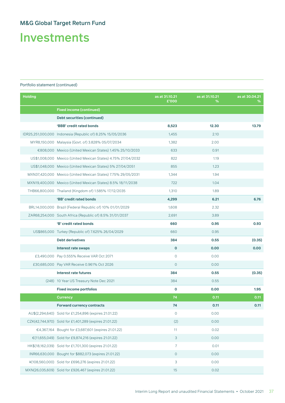Investments

| <b>Holding</b> |                                                               | as at 31.10.21<br>£'000 | as at 31.10.21<br>℅ | as at 30.04.21<br>℅ |
|----------------|---------------------------------------------------------------|-------------------------|---------------------|---------------------|
|                | <b>Fixed income (continued)</b>                               |                         |                     |                     |
|                | Debt securities (continued)                                   |                         |                     |                     |
|                | 'BBB' credit rated bonds                                      | 8,523                   | 12.30               | 13.79               |
|                | IDR25,251,000,000 Indonesia (Republic of) 8.25% 15/05/2036    | 1,455                   | 2.10                |                     |
|                | MYR8,150,000 Malaysia (Govt. of) 3.828% 05/07/2034            | 1,382                   | 2.00                |                     |
|                | €808,000 Mexico (United Mexican States) 1.45% 25/10/2033      | 633                     | 0.91                |                     |
|                | US\$1,008,000 Mexico (United Mexican States) 4.75% 27/04/2032 | 822                     | 1.19                |                     |
|                | US\$1,048,000 Mexico (United Mexican States) 5% 27/04/2051    | 855                     | 1.23                |                     |
|                | MXN37,420,000 Mexico (United Mexican States) 7.75% 29/05/2031 | 1,344                   | 1.94                |                     |
|                | MXN19,400,000 Mexico (United Mexican States) 8.5% 18/11/2038  | 722                     | 1.04                |                     |
|                | THB66,800,000 Thailand (Kingdom of) 1.585% 17/12/2035         | 1,310                   | 1.89                |                     |
|                | 'BB' credit rated bonds                                       | 4,299                   | 6.21                | 6.76                |
|                | BRL14,000,000 Brazil (Federal Republic of) 10% 01/01/2029     | 1,608                   | 2.32                |                     |
|                | ZAR68,254,000 South Africa (Republic of) 8.5% 31/01/2037      | 2,691                   | 3.89                |                     |
|                | 'B' credit rated bonds                                        | 660                     | 0.95                | 0.93                |
|                | US\$865,000 Turkey (Republic of) 7.625% 26/04/2029            | 660                     | 0.95                |                     |
|                | <b>Debt derivatives</b>                                       | 384                     | 0.55                | (0.35)              |
|                | Interest rate swaps                                           | $\mathbf 0$             | 0.00                | 0.00                |
|                | £3,490,000 Pay 0.555% Receive VAR Oct 2071                    | $\circ$                 | 0.00                |                     |
|                | £30,685,000 Pay VAR Receive 0.961% Oct 2026                   | $\overline{0}$          | 0.00                |                     |
|                | Interest rate futures                                         | 384                     | 0.55                | (0.35)              |
|                | (248) 10 Year US Treasury Note Dec 2021                       | 384                     | 0.55                |                     |
|                | <b>Fixed income portfolios</b>                                | $\mathbf 0$             | 0.00                | 1.95                |
|                | <b>Currency</b>                                               | 74                      | 0.11                | 0.11                |
|                | <b>Forward currency contracts</b>                             | 74                      | 0.11                | 0.11                |
|                | AU\$(2,294,640) Sold for £1,254,896 (expires 21.01.22)        | $\mathsf{O}$            | 0.00                |                     |
|                | CZK(42,744,970) Sold for £1,401,289 (expires 21.01.22)        | (2)                     | 0.00                |                     |
|                | €4,367,164 Bought for £3,687,601 (expires 21.01.22)           | 11                      | 0.02                |                     |
|                | €(11,655,049) Sold for £9,874,216 (expires 21.01.22)          | 3                       | 0.00                |                     |
|                | HK\$(18,162,039) Sold for £1,701,300 (expires 21.01.22)       | $\overline{7}$          | 0.01                |                     |
|                | INR66,630,000 Bought for \$882,073 (expires 21.01.22)         | $\mathsf O$             | 0.00                |                     |
|                | ¥(108,560,000) Sold for £696,276 (expires 21.01.22)           | 3                       | 0.00                |                     |
|                | MXN(26,035,609) Sold for £926,467 (expires 21.01.22)          | 15                      | 0.02                |                     |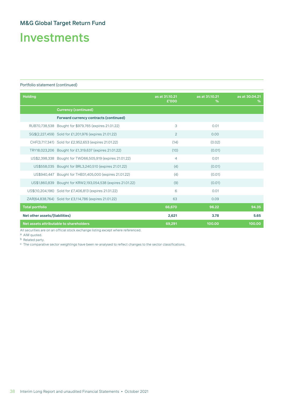# Investments

#### Portfolio statement (continued)

| <b>Holding</b>                 |                                                              | as at 31.10.21<br>£'000 | as at 31.10.21<br>% | as at 30.04.21<br>% |
|--------------------------------|--------------------------------------------------------------|-------------------------|---------------------|---------------------|
|                                | <b>Currency (continued)</b>                                  |                         |                     |                     |
|                                | <b>Forward currency contracts (continued)</b>                |                         |                     |                     |
|                                | RUB70,738,538 Bought for \$979,765 (expires 21.01.22)        | 3                       | 0.01                |                     |
|                                | SG\$(2,227,459) Sold for £1,201,976 (expires 21.01.22)       | 2                       | 0.00                |                     |
|                                | CHF(3,717,341) Sold for £2,952,653 (expires 21.01.22)        | (14)                    | (0.02)              |                     |
|                                | TRY18,023,206 Bought for £1,319,637 (expires 21.01.22)       | (10)                    | (0.01)              |                     |
|                                | US\$2,398,338 Bought for TWD66,505,919 (expires 21.01.22)    | 4                       | 0.01                |                     |
|                                | US\$558,035 Bought for BRL3,240,510 (expires 21.01.22)       | (4)                     | (0.01)              |                     |
|                                | US\$940,447 Bought for THB31,405,000 (expires 21.01.22)      | (4)                     | (0.01)              |                     |
|                                | US\$1,860,839 Bought for KRW2,193,054,538 (expires 21.01.22) | (9)                     | (0.01)              |                     |
|                                | US\$(10,204,196) Sold for £7,406,813 (expires 21.01.22)      | 6                       | 0.01                |                     |
|                                | ZAR(64,838,764) Sold for £3,114,786 (expires 21.01.22)       | 63                      | 0.09                |                     |
| <b>Total portfolio</b>         |                                                              | 66,670                  | 96.22               | 94.35               |
| Net other assets/(liabilities) |                                                              | 2,621                   | 3.78                | 5.65                |
|                                | Net assets attributable to shareholders                      | 69,291                  | 100.00              | 100.00              |

All securities are on an official stock exchange listing except where referenced.

a AIM quoted.

**b** Related party.

c The comparative sector weightings have been re-analysed to reflect changes to the sector classifications.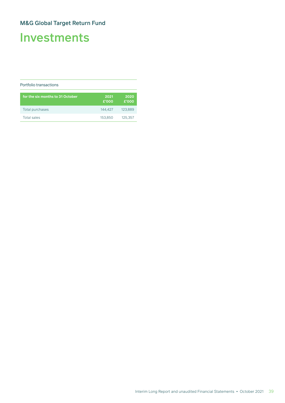# Investments

#### Portfolio transactions

| for the six months to 31 October | 2021<br>£'000 | 2020<br>£'000 |
|----------------------------------|---------------|---------------|
| Total purchases                  | 144.427       | 123.889       |
| <b>Total sales</b>               | 153.850       | 125,357       |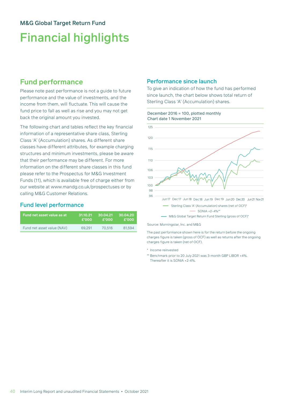# Financial highlights

## **Fund performance**

Please note past performance is not a guide to future performance and the value of investments, and the income from them, will fluctuate. This will cause the fund price to fall as well as rise and you may not get back the original amount you invested.

The following chart and tables reflect the key financial information of a representative share class, Sterling Class 'A' (Accumulation) shares. As different share classes have different attributes, for example charging structures and minimum investments, please be aware that their performance may be different. For more information on the different share classes in this fund please refer to the Prospectus for M&G Investment Funds (11), which is available free of charge either from our website at www.mandg.co.uk/prospectuses or by calling M&G Customer Relations.

### Fund level performance

| Fund net asset value as at | .31.10.21'   | 30.04.21 | 30.04.20 |
|----------------------------|--------------|----------|----------|
|                            | <b>£'000</b> | £'000    | £'000    |
| Fund net asset value (NAV) | 69.291       | 70.516   | 81.594   |

#### Performance since launch

To give an indication of how the fund has performed since launch, the chart below shows total return of Sterling Class 'A' (Accumulation) shares.



Source: Morningstar, Inc. and M&G

The past performance shown here is for the return before the ongoing charges figure is taken (gross of OCF) as well as returns after the ongoing charges figure is taken (net of OCF).

- \* Income reinvested
- \*\* Benchmark prior to 20 July 2021 was 3-month GBP LIBOR +4%. Thereafter it is SONIA +2-4%.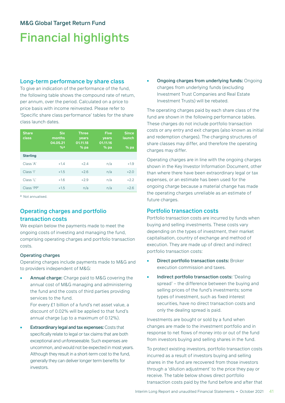# Financial highlights

#### Long-term performance by share class

To give an indication of the performance of the fund, the following table shows the compound rate of return, per annum, over the period. Calculated on a price to price basis with income reinvested. Please refer to 'Specific share class performance' tables for the share class launch dates.

| <b>Share</b><br>class | <b>Six</b><br>months<br>04.05.21<br>%a | <b>Three</b><br>years<br>01.11.18<br>$%$ pa | <b>Five</b><br>years<br>01.11.16<br>$%$ pa | <b>Since</b><br>launch<br>$%$ pa |
|-----------------------|----------------------------------------|---------------------------------------------|--------------------------------------------|----------------------------------|
| <b>Sterling</b>       |                                        |                                             |                                            |                                  |
| Class 'A'             | $+1.4$                                 | $+2.4$                                      | n/a                                        | $+1.9$                           |
| Class 'l'             | $+1.5$                                 | $+2.6$                                      | n/a                                        | $+2.0$                           |
| Class 'L'             | $+1.6$                                 | $+2.9$                                      | n/a                                        | $+2.2$                           |
| Class 'PP'            | $+1.5$                                 | n/a                                         | n/a                                        | $+2.6$                           |

a Not annualised.

#### Operating charges and portfolio transaction costs

We explain below the payments made to meet the ongoing costs of investing and managing the fund, comprising operating charges and portfolio transaction costs.

#### Operating charges

Operating charges include payments made to M&G and to providers independent of M&G:

Annual charge: Charge paid to M&G covering the annual cost of M&G managing and administering the fund and the costs of third parties providing services to the fund.

For every £1 billion of a fund's net asset value, a discount of 0.02% will be applied to that fund's annual charge (up to a maximum of 0.12%).

**Extraordinary legal and tax expenses: Costs that** specifically relate to legal or tax claims that are both exceptional and unforeseeable. Such expenses are uncommon, and would not be expected in most years. Although they result in a short-term cost to the fund, generally they can deliver longer term benefits for investors.

• Ongoing charges from underlying funds: Ongoing charges from underlying funds (excluding Investment Trust Companies and Real Estate Investment Trusts) will be rebated.

The operating charges paid by each share class of the fund are shown in the following performance tables. These charges do not include portfolio transaction costs or any entry and exit charges (also known as initial and redemption charges). The charging structures of share classes may differ, and therefore the operating charges may differ.

Operating charges are in line with the ongoing charges shown in the Key Investor Information Document, other than where there have been extraordinary legal or tax expenses, or an estimate has been used for the ongoing charge because a material change has made the operating charges unreliable as an estimate of future charges.

#### Portfolio transaction costs

Portfolio transaction costs are incurred by funds when buying and selling investments. These costs vary depending on the types of investment, their market capitalisation, country of exchange and method of execution. They are made up of direct and indirect portfolio transaction costs:

- **Direct portfolio transaction costs: Broker** execution commission and taxes.
- Indirect portfolio transaction costs: 'Dealing spread' – the difference between the buying and selling prices of the fund's investments; some types of investment, such as fixed interest securities, have no direct transaction costs and only the dealing spread is paid.

Investments are bought or sold by a fund when changes are made to the investment portfolio and in response to net flows of money into or out of the fund from investors buying and selling shares in the fund.

To protect existing investors, portfolio transaction costs incurred as a result of investors buying and selling shares in the fund are recovered from those investors through a 'dilution adjustment' to the price they pay or receive. The table below shows direct portfolio transaction costs paid by the fund before and after that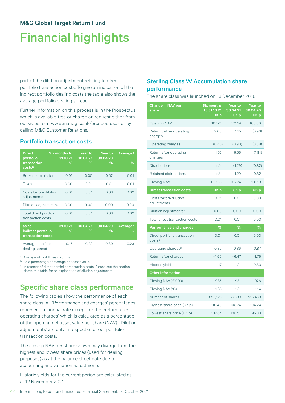# Financial highlights

part of the dilution adjustment relating to direct portfolio transaction costs. To give an indication of the indirect portfolio dealing costs the table also shows the average portfolio dealing spread.

Further information on this process is in the Prospectus, which is available free of charge on request either from our website at www.mandg.co.uk/prospectuses or by calling M&G Customer Relations.

#### Portfolio transaction costs

| <b>Direct</b><br>portfolio<br>transaction<br>costsb | Six months to<br>31.10.21<br>℅ | Year to<br>30.04.21<br>℅ | <b>Year to</b><br>30.04.20<br>℅ | Average <sup>a</sup><br>%       |
|-----------------------------------------------------|--------------------------------|--------------------------|---------------------------------|---------------------------------|
| <b>Broker commission</b>                            | 0.01                           | 0.00                     | 0.02                            | 0.01                            |
| Taxes                                               | 0.00                           | 0.01                     | 0.01                            | 0.01                            |
| Costs before dilution<br>adjustments                | 0.01                           | 0.01                     | 0.03                            | 0.02                            |
| Dilution adjustmentsc                               | 0.00                           | 0.00                     | 0.00                            | 0.00                            |
| Total direct portfolio<br>transaction costs         | 0.01                           | 0.01                     | 0.03                            | 0.02                            |
| as at<br>Indirect portfolio<br>transaction costs    | 31.10.21<br>℅                  | 30.04.21<br>℅            | 30.04.20<br>℅                   | <b>Average<sup>a</sup></b><br>% |
| Average portfolio<br>dealing spread                 | 0.17                           | 0.22                     | 0.30                            | 0.23                            |

a Average of first three columns.

b As a percentage of average net asset value.

c In respect of direct portfolio transaction costs. Please see the section above this table for an explanation of dilution adjustments.

## **Specific share class performance**

The following tables show the performance of each share class. All 'Performance and charges' percentages represent an annual rate except for the 'Return after operating charges' which is calculated as a percentage of the opening net asset value per share (NAV). 'Dilution adjustments' are only in respect of direct portfolio transaction costs.

The closing NAV per share shown may diverge from the highest and lowest share prices (used for dealing purposes) as at the balance sheet date due to accounting and valuation adjustments.

Historic yields for the current period are calculated as at 12 November 2021.

### Sterling Class 'A' Accumulation share performance

The share class was launched on 13 December 2016.

| <b>Change in NAV per</b><br>share      | <b>Six months</b><br>$to$ 31.10.21<br>UK <sub>p</sub> | <b>Year to</b><br>30.04.21<br>UK <sub>p</sub> | <b>Year to</b><br>30.04.20<br>UK <sub>p</sub> |
|----------------------------------------|-------------------------------------------------------|-----------------------------------------------|-----------------------------------------------|
| <b>Opening NAV</b>                     | 107.74                                                | 101.19                                        | 103.00                                        |
| Return before operating<br>charges     | 2.08                                                  | 7.45                                          | (0.93)                                        |
| Operating charges                      | (0.46)                                                | (0.90)                                        | (0.88)                                        |
| Return after operating<br>charges      | 1.62                                                  | 6.55                                          | (1.81)                                        |
| <b>Distributions</b>                   | n/a                                                   | (1.29)                                        | (0.82)                                        |
| <b>Retained distributions</b>          | n/a                                                   | 1.29                                          | 0.82                                          |
| <b>Closing NAV</b>                     | 109.36                                                | 107.74                                        | 101.19                                        |
| <b>Direct transaction costs</b>        | UK <sub>p</sub>                                       | UK <sub>p</sub>                               | UK <sub>p</sub>                               |
| Costs before dilution<br>adjustments   | 0.01                                                  | 0.01                                          | 0.03                                          |
| Dilution adjustments <sup>a</sup>      | 0.00                                                  | 0.00                                          | 0.00                                          |
| Total direct transaction costs         | 0.01                                                  | 0.01                                          | 0.03                                          |
| <b>Performance and charges</b>         | %                                                     | %                                             | %                                             |
| Direct portfolio transaction<br>costsb | 0.01                                                  | 0.01                                          | 0.03                                          |
| Operating charges <sup>c</sup>         | 0.85                                                  | 0.86                                          | 0.87                                          |
| Return after charges                   | $+1.50$                                               | $+6.47$                                       | $-1.76$                                       |
| Historic yield                         | 1.17                                                  | 1.21                                          | 0.83                                          |
| <b>Other information</b>               |                                                       |                                               |                                               |
| Closing NAV (£'000)                    | 935                                                   | 931                                           | 926                                           |
| Closing NAV (%)                        | 1.35                                                  | 1.31                                          | 1.14                                          |
| Number of shares                       | 855,123                                               | 863,599                                       | 915,439                                       |
| Highest share price (UK p)             | 110.40                                                | 108.74                                        | 104.24                                        |
| Lowest share price (UK p)              | 107.64                                                | 100.51                                        | 95.33                                         |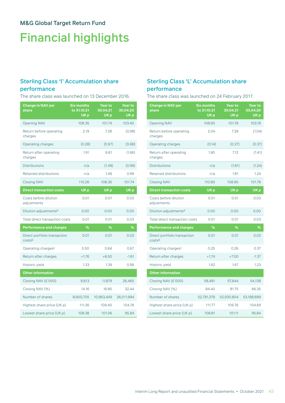# Financial highlights

### Sterling Class 'I' Accumulation share performance

The share class was launched on 13 December 2016.

| <b>Change in NAV per</b><br>share      | <b>Six months</b><br>to 31.10.21<br>UK <sub>p</sub> | <b>Year to</b><br>30.04.21<br>UK <sub>p</sub> | <b>Year to</b><br>30.04.20<br>UK <sub>p</sub> |
|----------------------------------------|-----------------------------------------------------|-----------------------------------------------|-----------------------------------------------|
| <b>Opening NAV</b>                     | 108.35                                              | 101.74                                        | 103.40                                        |
| Return before operating<br>charges     | 2.19                                                | 7.28                                          | (0.98)                                        |
| Operating charges                      | (0.28)                                              | (0.67)                                        | (0.68)                                        |
| Return after operating<br>charges      | 1.91                                                | 6.61                                          | (1.66)                                        |
| <b>Distributions</b>                   | n/a                                                 | (1.49)                                        | (0.99)                                        |
| Retained distributions                 | n/a                                                 | 1.49                                          | 0.99                                          |
| <b>Closing NAV</b>                     | 110.26                                              | 108.35                                        | 101.74                                        |
| <b>Direct transaction costs</b>        | UK <sub>p</sub>                                     | UK <sub>p</sub>                               | UK <sub>p</sub>                               |
| Costs before dilution<br>adjustments   | 0.01                                                | 0.01                                          | 0.03                                          |
| Dilution adjustments <sup>a</sup>      | 0.00                                                | 0.00                                          | 0.00                                          |
| <b>Total direct transaction costs</b>  | 0.01                                                | 0.01                                          | 0.03                                          |
| <b>Performance and charges</b>         | %                                                   | %                                             | %                                             |
| Direct portfolio transaction<br>costsb | 0.01                                                | 0.01                                          | 0.03                                          |
| Operating charges <sup>c</sup>         | 0.50                                                | 0.64                                          | 0.67                                          |
| Return after charges                   | $+1.76$                                             | $+6.50$                                       | $-1.61$                                       |
| Historic yield                         | 1.33                                                | 1.39                                          | 0.99                                          |
| <b>Other information</b>               |                                                     |                                               |                                               |
| Closing NAV (£'000)                    | 9,813                                               | 11,879                                        | 26,465                                        |
| Closing NAV (%)                        | 14.16                                               | 16.85                                         | 32.44                                         |
| Number of shares                       | 8,900,705                                           | 10,963,449                                    | 26,011,994                                    |
| Highest share price (UK p)             | 111.26                                              | 109.40                                        | 104.76                                        |
| Lowest share price (UK p)              | 108.38                                              | 101.06                                        | 95.84                                         |

### Sterling Class 'L' Accumulation share performance

The share class was launched on 24 February 2017.

| Change in NAV per<br>share             | <b>Six months</b><br>to 31.10.21<br>UK <sub>p</sub> | <b>Year to</b><br>30.04.21<br>UK <sub>p</sub> | <b>Year to</b><br>30.04.20<br>UK <sub>p</sub> |
|----------------------------------------|-----------------------------------------------------|-----------------------------------------------|-----------------------------------------------|
| <b>Opening NAV</b>                     | 108.90                                              | 101.78                                        | 103.19                                        |
| Return before operating<br>charges     | 2.04                                                | 7.39                                          | (1.04)                                        |
| Operating charges                      | (0.14)                                              | (0.27)                                        | (0.37)                                        |
| Return after operating<br>charges      | 1.90                                                | 7.12                                          | (1.41)                                        |
| <b>Distributions</b>                   | n/a                                                 | (1.81)                                        | (1.24)                                        |
| Retained distributions                 | n/a                                                 | 1.81                                          | 1.24                                          |
| <b>Closing NAV</b>                     | 110.80                                              | 108.90                                        | 101.78                                        |
| <b>Direct transaction costs</b>        | UK <sub>p</sub>                                     | UK <sub>p</sub>                               | UK <sub>p</sub>                               |
| Costs before dilution<br>adjustments   | 0.01                                                | 0.01                                          | 0.03                                          |
| Dilution adjustments <sup>a</sup>      | 0.00                                                | 0.00                                          | 0.00                                          |
| Total direct transaction costs         | 0.01                                                | 0.01                                          | 0.03                                          |
| <b>Performance and charges</b>         | %                                                   | %                                             | %                                             |
| Direct portfolio transaction<br>costsb | 0.01                                                | 0.01                                          | 0.03                                          |
| Operating charges <sup>c</sup>         | 0.25                                                | 0.26                                          | 0.37                                          |
| Return after charges                   | $+1.74$                                             | $+7.00$                                       | $-1.37$                                       |
| Historic yield                         | 1.62                                                | 1.67                                          | 1.23                                          |
| <b>Other information</b>               |                                                     |                                               |                                               |
| Closing NAV (£'000)                    | 58,481                                              | 57,644                                        | 54,138                                        |
| Closing NAV (%)                        | 84.40                                               | 81.75                                         | 66.35                                         |
| Number of shares                       | 52,781,378                                          | 52,930,804                                    | 53,188,689                                    |
| Highest share price (UK p)             | 111.77                                              | 109.76                                        | 104.69                                        |
| Lowest share price (UK p)              | 108.81                                              | 101.11                                        | 95.84                                         |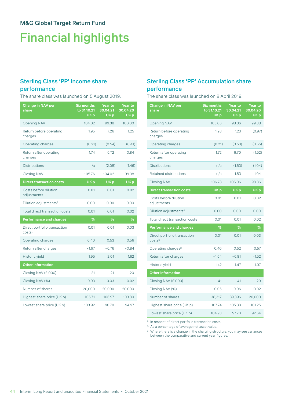# Financial highlights

# Sterling Class 'PP' Income share

#### performance

The share class was launched on 5 August 2019.

| <b>Change in NAV per</b><br>share      | <b>Six months</b><br>to 31.10.21<br>UK <sub>p</sub> | Year to<br>30.04.21<br>UK <sub>p</sub> | <b>Year to</b><br>30.04.20<br>UK <sub>p</sub> |
|----------------------------------------|-----------------------------------------------------|----------------------------------------|-----------------------------------------------|
| <b>Opening NAV</b>                     | 104.02                                              | 99.38                                  | 100.00                                        |
| Return before operating<br>charges     | 1.95                                                | 7.26                                   | 1.25                                          |
| Operating charges                      | (0.21)                                              | (0.54)                                 | (0.41)                                        |
| Return after operating<br>charges      | 1.74                                                | 6.72                                   | 0.84                                          |
| <b>Distributions</b>                   | n/a                                                 | (2.08)                                 | (1.46)                                        |
| <b>Closing NAV</b>                     | 105.76                                              | 104.02                                 | 99.38                                         |
| <b>Direct transaction costs</b>        | UK <sub>p</sub>                                     | UK <sub>p</sub>                        | UK <sub>p</sub>                               |
| Costs before dilution<br>adjustments   | 0.01                                                | 0.01                                   | 0.02                                          |
| Dilution adjustments <sup>a</sup>      | 0.00                                                | 0.00                                   | 0.00                                          |
| Total direct transaction costs         | 0.01                                                | 0.01                                   | 0.02                                          |
| <b>Performance and charges</b>         | %                                                   | %                                      | %                                             |
| Direct portfolio transaction<br>costsb | 0.01                                                | 0.01                                   | 0.03                                          |
| Operating charges                      | 0.40                                                | 0.53                                   | 0.56                                          |
| Return after charges                   | $+1.67$                                             | $+6.76$                                | $+0.84$                                       |
| Historic yield                         | 1.95                                                | 2.01                                   | 1.62                                          |
| <b>Other information</b>               |                                                     |                                        |                                               |
| Closing NAV (£'000)                    | 21                                                  | 21                                     | 20                                            |
| Closing NAV (%)                        | 0.03                                                | 0.03                                   | 0.02                                          |
| Number of shares                       | 20,000                                              | 20,000                                 | 20,000                                        |
| Highest share price (UK p)             | 106.71                                              | 106.97                                 | 103.80                                        |
| Lowest share price (UK p)              | 103.92                                              | 98.70                                  | 94.97                                         |

### Sterling Class 'PP' Accumulation share performance

The share class was launched on 8 April 2019.

| <b>Change in NAV per</b><br>share      | <b>Six months</b><br>to 31.10.21<br>UK <sub>p</sub> | <b>Year to</b><br>30.04.21<br>UK <sub>p</sub> | <b>Year to</b><br>30.04.20<br>UK <sub>p</sub> |
|----------------------------------------|-----------------------------------------------------|-----------------------------------------------|-----------------------------------------------|
| <b>Opening NAV</b>                     | 105.06                                              | 98.36                                         | 99.88                                         |
| Return before operating<br>charges     | 1.93                                                | 7.23                                          | (0.97)                                        |
| Operating charges                      | (0.21)                                              | (0.53)                                        | (0.55)                                        |
| Return after operating<br>charges      | 1.72                                                | 6.70                                          | (1.52)                                        |
| <b>Distributions</b>                   | n/a                                                 | (1.53)                                        | (1.04)                                        |
| Retained distributions                 | n/a                                                 | 1.53                                          | 1.04                                          |
| <b>Closing NAV</b>                     | 106.78                                              | 105.06                                        | 98.36                                         |
| <b>Direct transaction costs</b>        | UK <sub>p</sub>                                     | UK <sub>p</sub>                               | UK <sub>p</sub>                               |
| Costs before dilution<br>adjustments   | 0.01                                                | 0.01                                          | 0.02                                          |
| Dilution adjustments <sup>a</sup>      | 0.00                                                | 0.00                                          | 0.00                                          |
| <b>Total direct transaction costs</b>  | 0.01                                                | 0.01                                          | 0.02                                          |
| <b>Performance and charges</b>         | %                                                   | %                                             | %                                             |
| Direct portfolio transaction<br>costsb | 0.01                                                | 0.01                                          | 0.03                                          |
| Operating charges <sup>c</sup>         | 0.40                                                | 0.52                                          | 0.57                                          |
| Return after charges                   | $+1.64$                                             | $+6.81$                                       | $-1.52$                                       |
| Historic yield                         | 1.42                                                | 1.47                                          | 1.07                                          |
| <b>Other information</b>               |                                                     |                                               |                                               |
| Closing NAV (£'000)                    | 41                                                  | 41                                            | 20                                            |
| Closing NAV (%)                        | 0.06                                                | 0.06                                          | 0.02                                          |
| Number of shares                       | 38,317                                              | 39,396                                        | 20,000                                        |
| Highest share price (UK p)             | 107.74                                              | 105.88                                        | 101.25                                        |
| Lowest share price (UK p)              | 104.93                                              | 97.70                                         | 92.64                                         |

a In respect of direct portfolio transaction costs.

b As a percentage of average net asset value.

 $\,^{\rm c}$  Where there is a change in the charging structure, you may see variances between the comparative and current year figures.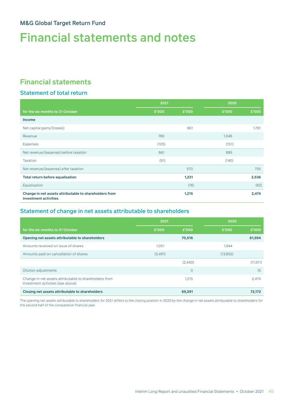# Financial statements and notes

# **Financial statements**

### Statement of total return

|                                                                                 | 2021  |       | 2020  |       |
|---------------------------------------------------------------------------------|-------|-------|-------|-------|
| for the six months to 31 October                                                | £'000 | £'000 | £'000 | £'000 |
| <b>Income</b>                                                                   |       |       |       |       |
| Net capital gains/(losses)                                                      |       | 661   |       | 1,781 |
| Revenue                                                                         | 766   |       | 1,046 |       |
| Expenses                                                                        | (105) |       | (151) |       |
| Net revenue/(expense) before taxation                                           | 661   |       | 895   |       |
| <b>Taxation</b>                                                                 | (91)  |       | (140) |       |
| Net revenue/(expense) after taxation                                            |       | 570   |       | 755   |
| <b>Total return before equalisation</b>                                         |       | 1,231 |       | 2,536 |
| Equalisation                                                                    |       | (16)  |       | (62)  |
| Change in net assets attributable to shareholders from<br>investment activities |       | 1,215 |       | 2,474 |

### Statement of change in net assets attributable to shareholders

|                                                                                             | 2021    |         | 2020      |           |
|---------------------------------------------------------------------------------------------|---------|---------|-----------|-----------|
| for the six months to 31 October                                                            | £'000   | £'000   | £'000     | £'000     |
| Opening net assets attributable to shareholders                                             |         | 70,516  |           | 81,594    |
| Amounts received on issue of shares                                                         | 1,051   |         | 1,944     |           |
| Amounts paid on cancellation of shares                                                      | (3,491) |         | (13, 855) |           |
|                                                                                             |         | (2,440) |           | (11, 911) |
| Dilution adjustments                                                                        |         | $\circ$ |           | 15        |
| Change in net assets attributable to shareholders from<br>investment activities (see above) |         | 1,215   |           | 2,474     |
| Closing net assets attributable to shareholders                                             |         | 69,291  |           | 72,172    |

The opening net assets attributable to shareholders for 2021 differs to the closing position in 2020 by the change in net assets attributable to shareholders for the second half of the comparative financial year.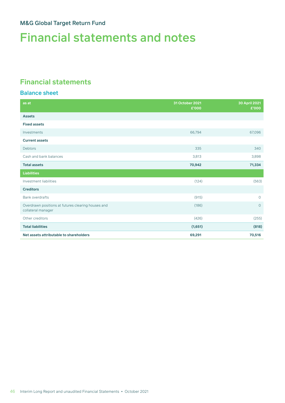# Financial statements and notes

## **Financial statements**

### Balance sheet

| as at                                                                    | 31 October 2021<br>£'000 | 30 April 2021<br>£'000 |
|--------------------------------------------------------------------------|--------------------------|------------------------|
| <b>Assets</b>                                                            |                          |                        |
| <b>Fixed assets</b>                                                      |                          |                        |
| Investments                                                              | 66,794                   | 67,096                 |
| <b>Current assets</b>                                                    |                          |                        |
| <b>Debtors</b>                                                           | 335                      | 340                    |
| Cash and bank balances                                                   | 3,813                    | 3,898                  |
| <b>Total assets</b>                                                      | 70,942                   | 71,334                 |
| <b>Liabilities</b>                                                       |                          |                        |
| Investment liabilities                                                   | (124)                    | (563)                  |
| <b>Creditors</b>                                                         |                          |                        |
| <b>Bank overdrafts</b>                                                   | (915)                    | $\overline{O}$         |
| Overdrawn positions at futures clearing houses and<br>collateral manager | (186)                    | $\circ$                |
| Other creditors                                                          | (426)                    | (255)                  |
| <b>Total liabilities</b>                                                 | (1,651)                  | (818)                  |
| Net assets attributable to shareholders                                  | 69,291                   | 70,516                 |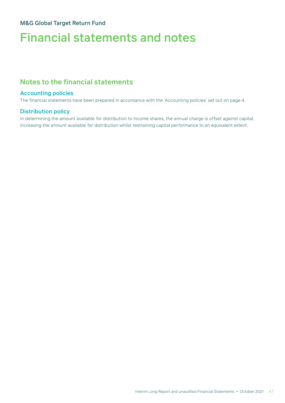# Financial statements and notes

## **Notes to the financial statements**

#### Accounting policies

The financial statements have been prepared in accordance with the 'Accounting policies' set out on page 4.

#### Distribution policy

In determining the amount available for distribution to Income shares, the annual charge is offset against capital, increasing the amount available for distribution whilst restraining capital performance to an equivalent extent.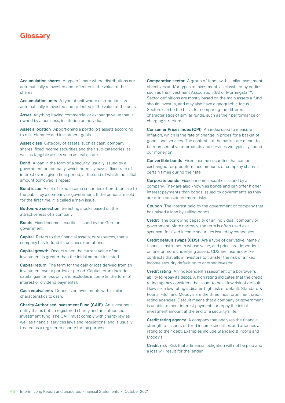<span id="page-49-0"></span>Accumulation shares A type of share where distributions are automatically reinvested and reflected in the value of the shares.

Accumulation units A type of unit where distributions are automatically reinvested and reflected in the value of the units.

Asset Anything having commercial or exchange value that is owned by a business, institution or individual.

Asset allocation Apportioning a portfolio's assets according to risk tolerance and investment goals.

Asset class Category of assets, such as cash, company shares, fixed income securities and their sub-categories, as well as tangible assets such as real estate.

Bond A loan in the form of a security, usually issued by a government or company, which normally pays a fixed rate of interest over a given time period, at the end of which the initial amount borrowed is repaid.

Bond issue A set of fixed income securities offered for sale to the public by a company or government. If the bonds are sold for the first time, it is called a 'new issue'.

Bottom-up selection Selecting stocks based on the attractiveness of a company.

**Bunds** Fixed income securities issued by the German government.

Capital Refers to the financial assets, or resources, that a company has to fund its business operations.

Capital growth Occurs when the current value of an investment is greater than the initial amount invested.

Capital return The term for the gain or loss derived from an investment over a particular period. Capital return includes capital gain or loss only and excludes income (in the form of interest or dividend payments).

Cash equivalents Deposits or investments with similar characteristics to cash.

Charity Authorised Investment Fund (CAIF) An investment entity that is both a registered charity and an authorised investment fund. The CAIF must comply with charity law as well as financial services laws and regulations, and is usually treated as a registered charity for tax purposes.

Comparative sector A group of funds with similar investment objectives and/or types of investment, as classified by bodies such as the Investment Association (IA) or Morningstar™. Sector definitions are mostly based on the main assets a fund should invest in, and may also have a geographic focus. Sectors can be the basis for comparing the different characteristics of similar funds, such as their performance or charging structure.

Consumer Prices Index (CPI) An index used to measure inflation, which is the rate of change in prices for a basket of goods and services. The contents of the basket are meant to be representative of products and services we typically spend our money on.

Convertible bonds Fixed income securities that can be exchanged for predetermined amounts of company shares at certain times during their life.

Corporate bonds Fixed income securities issued by a company. They are also known as bonds and can offer higher interest payments than bonds issued by governments as they are often considered more risky.

Coupon The interest paid by the government or company that has raised a loan by selling bonds.

Credit The borrowing capacity of an individual, company or government. More narrowly, the term is often used as a synonym for fixed income securities issued by companies.

Credit default swaps (CDS) Are a type of derivative, namely financial instruments whose value, and price, are dependent on one or more underlying assets. CDS are insurance-like contracts that allow investors to transfer the risk of a fixed income security defaulting to another investor.

Credit rating An independent assessment of a borrower's ability to repay its debts. A high rating indicates that the credit rating agency considers the issuer to be at low risk of default; likewise, a low rating indicates high risk of default. Standard & Poor's, Fitch and Moody's are the three most prominent credit rating agencies. Default means that a company or government is unable to meet interest payments or repay the initial investment amount at the end of a security's life.

Credit rating agency A company that analyses the financial strength of issuers of fixed income securities and attaches a rating to their debt. Examples include Standard & Poor's and Moody's.

Credit risk Risk that a financial obligation will not be paid and a loss will result for the lender.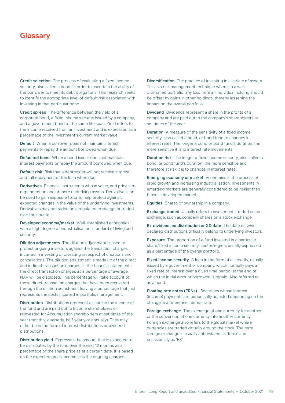Credit selection The process of evaluating a fixed income security, also called a bond, in order to ascertain the ability of the borrower to meet its debt obligations. This research seeks to identify the appropriate level of default risk associated with investing in that particular bond.

Credit spread The difference between the yield of a corporate bond, a fixed income security issued by a company, and a government bond of the same life span. Yield refers to the income received from an investment and is expressed as a percentage of the investment's current market value.

Default When a borrower does not maintain interest payments or repay the amount borrowed when due.

Defaulted bond When a bond issuer does not maintain interest payments or repay the amount borrowed when due.

Default risk Risk that a debtholder will not receive interest and full repayment of the loan when due.

Derivatives Financial instruments whose value, and price, are dependent on one or more underlying assets. Derivatives can be used to gain exposure to, or to help protect against, expected changes in the value of the underlying investments. Derivatives may be traded on a regulated exchange or traded over the counter.

Developed economy/market Well-established economies with a high degree of industrialisation, standard of living and security.

Dilution adjustments The dilution adjustment is used to protect ongoing investors against the transaction charges incurred in investing or divesting in respect of creations and cancellations. The dilution adjustment is made up of the direct and indirect transaction charges. In the financial statements the direct transaction charges as a percentage of average NAV will be disclosed. This percentage will take account of those direct transaction charges that have been recovered through the dilution adjustment leaving a percentage that just represents the costs incurred in portfolio management.

Distribution Distributions represent a share in the income of the fund and are paid out to Income shareholders or reinvested for Accumulation shareholders at set times of the year (monthly, quarterly, half-yearly or annually). They may either be in the form of interest distributions or dividend distributions.

Distribution yield Expresses the amount that is expected to be distributed by the fund over the next 12 months as a percentage of the share price as at a certain date. It is based on the expected gross income less the ongoing charges.

Diversification The practice of investing in a variety of assets. This is a risk management technique where, in a welldiversified portfolio, any loss from an individual holding should be offset by gains in other holdings, thereby lessening the impact on the overall portfolio.

Dividend Dividends represent a share in the profits of a company and are paid out to the company's shareholders at set times of the year.

**Duration** A measure of the sensitivity of a fixed income security, also called a bond, or bond fund to changes in interest rates. The longer a bond or bond fund's duration, the more sensitive it is to interest rate movements.

Duration risk The longer a fixed income security, also called a bond, or bond fund's duration, the more sensitive and therefore at risk it is to changes in interest rates.

Emerging economy or market Economies in the process of rapid growth and increasing industrialisation. Investments in emerging markets are generally considered to be riskier than those in developed markets.

Equities Shares of ownership in a company.

Exchange traded Usually refers to investments traded on an exchange, such as company shares on a stock exchange.

Ex-dividend, ex-distribution or XD date The date on which declared distributions officially belong to underlying investors.

Exposure The proportion of a fund invested in a particular share/fixed income security, sector/region, usually expressed as a percentage of the overall portfolio.

Fixed income security A loan in the form of a security, usually issued by a government or company, which normally pays a fixed rate of interest over a given time period, at the end of which the initial amount borrowed is repaid. Also referred to as a bond.

Floating rate notes (FRNs) Securities whose interest (income) payments are periodically adjusted depending on the change in a reference interest rate.

Foreign exchange The exchange of one currency for another, or the conversion of one currency into another currency. Foreign exchange also refers to the global market where currencies are traded virtually around the clock. The term foreign exchange is usually abbreviated as 'forex' and occasionally as 'FX'.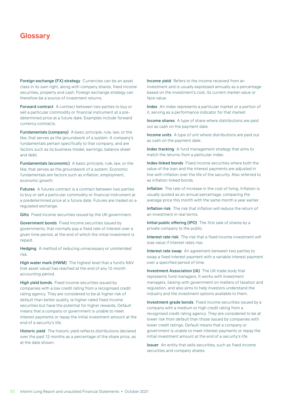Foreign exchange (FX) strategy Currencies can be an asset class in its own right, along with company shares, fixed income securities, property and cash. Foreign exchange strategy can therefore be a source of investment returns.

Forward contract A contract between two parties to buy or sell a particular commodity or financial instrument at a predetermined price at a future date. Examples include forward currency contracts.

Fundamentals (company) A basic principle, rule, law, or the like, that serves as the groundwork of a system. A company's fundamentals pertain specifically to that company, and are factors such as its business model, earnings, balance sheet and debt.

Fundamentals (economic) A basic principle, rule, law, or the like, that serves as the groundwork of a system. Economic fundamentals are factors such as inflation, employment, economic growth.

Futures A futures contract is a contract between two parties to buy or sell a particular commodity or financial instrument at a predetermined price at a future date. Futures are traded on a regulated exchange.

Gilts Fixed income securities issued by the UK government.

Government bonds Fixed income securities issued by governments, that normally pay a fixed rate of interest over a given time period, at the end of which the initial investment is repaid.

Hedging A method of reducing unnecessary or unintended risk.

High water mark (HWM) The highest level that a fund's NAV (net asset value) has reached at the end of any 12-month accounting period.

High yield bonds Fixed income securities issued by companies with a low credit rating from a recognised credit rating agency. They are considered to be at higher risk of default than better quality, ie higher-rated fixed income securities but have the potential for higher rewards. Default means that a company or government is unable to meet interest payments or repay the initial investment amount at the end of a security's life.

Historic yield The historic yield reflects distributions declared over the past 12 months as a percentage of the share price, as at the date shown.

Income yield Refers to the income received from an investment and is usually expressed annually as a percentage based on the investment's cost, its current market value or face value.

Index An index represents a particular market or a portion of it, serving as a performance indicator for that market.

Income shares A type of share where distributions are paid out as cash on the payment date.

Income units A type of unit where distributions are paid out as cash on the payment date.

Index tracking A fund management strategy that aims to match the returns from a particular index.

Index-linked bonds Fixed income securities where both the value of the loan and the interest payments are adjusted in line with inflation over the life of the security. Also referred to as inflation-linked bonds.

Inflation The rate of increase in the cost of living. Inflation is usually quoted as an annual percentage, comparing the average price this month with the same month a year earlier.

Inflation risk The risk that inflation will reduce the return of an investment in real terms.

Initial public offering (IPO) The first sale of shares by a private company to the public.

Interest rate risk The risk that a fixed income investment will lose value if interest rates rise.

Interest rate swap An agreement between two parties to swap a fixed interest payment with a variable interest payment over a specified period of time.

Investment Association (IA) The UK trade body that represents fund managers. It works with investment managers, liaising with government on matters of taxation and regulation, and also aims to help investors understand the industry and the investment options available to them.

Investment grade bonds Fixed income securities issued by a company with a medium or high credit rating from a recognised credit rating agency. They are considered to be at lower risk from default than those issued by companies with lower credit ratings. Default means that a company or government is unable to meet interest payments or repay the initial investment amount at the end of a security's life.

**Issuer** An entity that sells securities, such as fixed income securities and company shares.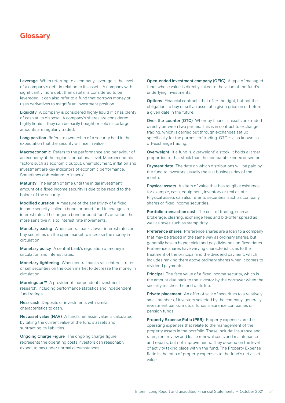Leverage When referring to a company, leverage is the level of a company's debt in relation to its assets. A company with significantly more debt than capital is considered to be leveraged. It can also refer to a fund that borrows money or uses derivatives to magnify an investment position.

Liquidity A company is considered highly liquid if it has plenty of cash at its disposal. A company's shares are considered highly liquid if they can be easily bought or sold since large amounts are regularly traded.

Long position Refers to ownership of a security held in the expectation that the security will rise in value.

Macroeconomic Refers to the performance and behaviour of an economy at the regional or national level. Macroeconomic factors such as economic output, unemployment, inflation and investment are key indicators of economic performance. Sometimes abbreviated to 'macro'.

Maturity The length of time until the initial investment amount of a fixed income security is due to be repaid to the holder of the security.

Modified duration A measure of the sensitivity of a fixed income security, called a bond, or bond fund to changes in interest rates. The longer a bond or bond fund's duration, the more sensitive it is to interest rate movements.

Monetary easing When central banks lower interest rates or buy securities on the open market to increase the money in circulation.

Monetary policy A central bank's regulation of money in circulation and interest rates.

Monetary tightening When central banks raise interest rates or sell securities on the open market to decrease the money in circulation.

Morningstar™ A provider of independent investment research, including performance statistics and independent fund ratings.

Near cash Deposits or investments with similar characteristics to cash.

Net asset value (NAV) A fund's net asset value is calculated by taking the current value of the fund's assets and subtracting its liabilities.

Ongoing Charge Figure The ongoing charge figure represents the operating costs investors can reasonably expect to pay under normal circumstances.

Open-ended investment company (OEIC) A type of managed fund, whose value is directly linked to the value of the fund's underlying investments.

**Options** Financial contracts that offer the right, but not the obligation, to buy or sell an asset at a given price on or before a given date in the future.

Over-the-counter (OTC) Whereby financial assets are traded directly between two parties. This is in contrast to exchange trading, which is carried out through exchanges set up specifically for the purpose of trading. OTC is also known as off-exchange trading.

Overweight If a fund is 'overweight' a stock, it holds a larger proportion of that stock than the comparable index or sector.

Payment date The date on which distributions will be paid by the fund to investors, usually the last business day of the month.

Physical assets An item of value that has tangible existence, for example, cash, equipment, inventory or real estate. Physical assets can also refer to securities, such as company shares or fixed income securities.

Portfolio transaction cost The cost of trading, such as brokerage, clearing, exchange fees and bid-offer spread as well as taxes such as stamp duty.

Preference shares Preference shares are a loan to a company that may be traded in the same way as ordinary shares, but generally have a higher yield and pay dividends on fixed dates. Preference shares have varying characteristics as to the treatment of the principal and the dividend payment, which includes ranking them above ordinary shares when it comes to dividend payments.

Principal The face value of a fixed income security, which is the amount due back to the investor by the borrower when the security reaches the end of its life.

Private placement An offer of sale of securities to a relatively small number of investors selected by the company, generally investment banks, mutual funds, insurance companies or pension funds.

Property Expense Ratio (PER) Property expenses are the operating expenses that relate to the management of the property assets in the portfolio. These include: insurance and rates, rent review and lease renewal costs and maintenance and repairs, but not improvements. They depend on the level of activity taking place within the fund. The Property Expense Ratio is the ratio of property expenses to the fund's net asset value.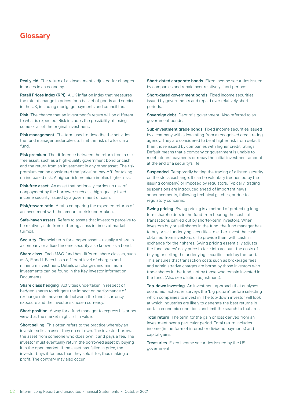Real yield The return of an investment, adjusted for changes in prices in an economy.

Retail Prices Index (RPI) A UK inflation index that measures the rate of change in prices for a basket of goods and services in the UK, including mortgage payments and council tax.

Risk The chance that an investment's return will be different to what is expected. Risk includes the possibility of losing some or all of the original investment.

Risk management The term used to describe the activities the fund manager undertakes to limit the risk of a loss in a fund.

Risk premium The difference between the return from a riskfree asset, such as a high-quality government bond or cash, and the return from an investment in any other asset. The risk premium can be considered the 'price' or 'pay-off' for taking on increased risk. A higher risk premium implies higher risk.

Risk-free asset An asset that notionally carries no risk of nonpayment by the borrower such as a high-quality fixed income security issued by a government or cash.

Risk/reward ratio A ratio comparing the expected returns of an investment with the amount of risk undertaken.

Safe-haven assets Refers to assets that investors perceive to be relatively safe from suffering a loss in times of market turmoil.

Security Financial term for a paper asset – usually a share in a company or a fixed income security also known as a bond.

Share class Each M&G fund has different share classes, such as A, R and I. Each has a different level of charges and minimum investment. Details on charges and minimum investments can be found in the Key Investor Information Documents.

Share class hedging Activities undertaken in respect of hedged shares to mitigate the impact on performance of exchange rate movements between the fund's currency exposure and the investor's chosen currency.

Short position A way for a fund manager to express his or her view that the market might fall in value.

Short selling This often refers to the practice whereby an investor sells an asset they do not own. The investor borrows the asset from someone who does own it and pays a fee. The investor must eventually return the borrowed asset by buying it in the open market. If the asset has fallen in price, the investor buys it for less than they sold it for, thus making a profit. The contrary may also occur.

Short-dated corporate bonds Fixed income securities issued by companies and repaid over relatively short periods.

Short-dated government bonds Fixed income securities issued by governments and repaid over relatively short periods.

Sovereign debt Debt of a government. Also referred to as government bonds.

Sub-investment grade bonds Fixed income securities issued by a company with a low rating from a recognised credit rating agency. They are considered to be at higher risk from default than those issued by companies with higher credit ratings. Default means that a company or government is unable to meet interest payments or repay the initial investment amount at the end of a security's life.

Suspended Temporarily halting the trading of a listed security on the stock exchange. It can be voluntary (requested by the issuing company) or imposed by regulators. Typically, trading suspensions are introduced ahead of important news announcements, following technical glitches, or due to regulatory concerns.

Swing pricing Swing pricing is a method of protecting longterm shareholders in the fund from bearing the costs of transactions carried out by shorter-term investors. When investors buy or sell shares in the fund, the fund manager has to buy or sell underlying securities to either invest the cash obtained from investors, or to provide them with cash in exchange for their shares. Swing pricing essentially adjusts the fund shares' daily price to take into account the costs of buying or selling the underlying securities held by the fund. This ensures that transaction costs such as brokerage fees and administrative charges are borne by those investors who trade shares in the fund, not by those who remain invested in the fund. (Also see dilution adjustment).

Top-down investing An investment approach that analyses economic factors, ie surveys the 'big picture', before selecting which companies to invest in. The top-down investor will look at which industries are likely to generate the best returns in certain economic conditions and limit the search to that area.

Total return The term for the gain or loss derived from an investment over a particular period. Total return includes income (in the form of interest or dividend payments) and capital gains.

Treasuries Fixed income securities issued by the US government.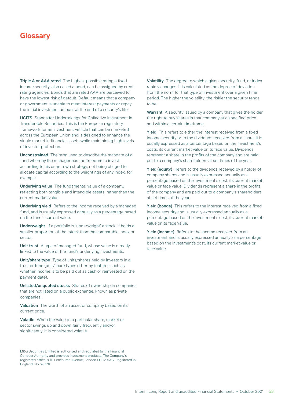Triple A or AAA rated The highest possible rating a fixed income security, also called a bond, can be assigned by credit rating agencies. Bonds that are rated AAA are perceived to have the lowest risk of default. Default means that a company or government is unable to meet interest payments or repay the initial investment amount at the end of a security's life.

UCITS Stands for Undertakings for Collective Investment in Transferable Securities. This is the European regulatory framework for an investment vehicle that can be marketed across the European Union and is designed to enhance the single market in financial assets while maintaining high levels of investor protection.

Unconstrained The term used to describe the mandate of a fund whereby the manager has the freedom to invest according to his or her own strategy, not being obliged to allocate capital according to the weightings of any index, for example.

Underlying value The fundamental value of a company, reflecting both tangible and intangible assets, rather than the current market value.

Underlying yield Refers to the income received by a managed fund, and is usually expressed annually as a percentage based on the fund's current value.

Underweight If a portfolio is 'underweight' a stock, it holds a smaller proportion of that stock than the comparable index or sector.

Unit trust A type of managed fund, whose value is directly linked to the value of the fund's underlying investments.

Unit/share type Type of units/shares held by investors in a trust or fund (unit/share types differ by features such as whether income is to be paid out as cash or reinvested on the payment date).

Unlisted/unquoted stocks Shares of ownership in companies that are not listed on a public exchange, known as private companies.

Valuation The worth of an asset or company based on its current price.

Volatile When the value of a particular share, market or sector swings up and down fairly frequently and/or significantly, it is considered volatile.

M&G Securities Limited is authorised and regulated by the Financial Conduct Authority and provides investment products. The Company's registered office is 10 Fenchurch Avenue, London EC3M 5AG. Registered in England: No. 90776.

Volatility The degree to which a given security, fund, or index rapidly changes. It is calculated as the degree of deviation from the norm for that type of investment over a given time period. The higher the volatility, the riskier the security tends to be.

Warrant A security issued by a company that gives the holder the right to buy shares in that company at a specified price and within a certain timeframe.

Yield This refers to either the interest received from a fixed income security or to the dividends received from a share. It is usually expressed as a percentage based on the investment's costs, its current market value or its face value. Dividends represent a share in the profits of the company and are paid out to a company's shareholders at set times of the year.

Yield (equity) Refers to the dividends received by a holder of company shares and is usually expressed annually as a percentage based on the investment's cost, its current market value or face value. Dividends represent a share in the profits of the company and are paid out to a company's shareholders at set times of the year.

Yield (bonds) This refers to the interest received from a fixed income security and is usually expressed annually as a percentage based on the investment's cost, its current market value or its face value.

Yield (income) Refers to the income received from an investment and is usually expressed annually as a percentage based on the investment's cost, its current market value or face value.